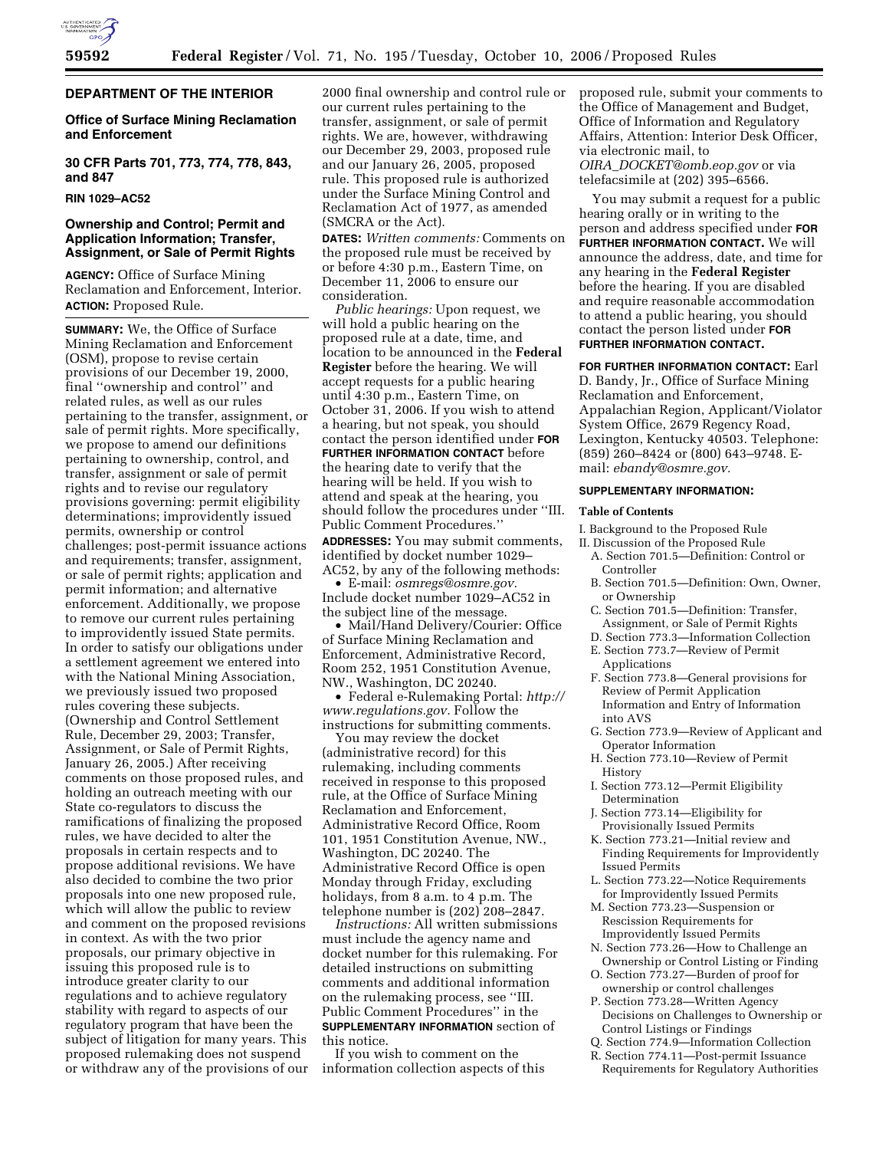

### **DEPARTMENT OF THE INTERIOR**

# **Office of Surface Mining Reclamation and Enforcement**

**30 CFR Parts 701, 773, 774, 778, 843, and 847** 

### **RIN 1029–AC52**

### **Ownership and Control; Permit and Application Information; Transfer, Assignment, or Sale of Permit Rights**

**AGENCY:** Office of Surface Mining Reclamation and Enforcement, Interior. **ACTION:** Proposed Rule.

**SUMMARY:** We, the Office of Surface Mining Reclamation and Enforcement (OSM), propose to revise certain provisions of our December 19, 2000, final ''ownership and control'' and related rules, as well as our rules pertaining to the transfer, assignment, or sale of permit rights. More specifically, we propose to amend our definitions pertaining to ownership, control, and transfer, assignment or sale of permit rights and to revise our regulatory provisions governing: permit eligibility determinations; improvidently issued permits, ownership or control challenges; post-permit issuance actions and requirements; transfer, assignment, or sale of permit rights; application and permit information; and alternative enforcement. Additionally, we propose to remove our current rules pertaining to improvidently issued State permits. In order to satisfy our obligations under a settlement agreement we entered into with the National Mining Association, we previously issued two proposed rules covering these subjects. (Ownership and Control Settlement Rule, December 29, 2003; Transfer, Assignment, or Sale of Permit Rights, January 26, 2005.) After receiving comments on those proposed rules, and holding an outreach meeting with our State co-regulators to discuss the ramifications of finalizing the proposed rules, we have decided to alter the proposals in certain respects and to propose additional revisions. We have also decided to combine the two prior proposals into one new proposed rule, which will allow the public to review and comment on the proposed revisions in context. As with the two prior proposals, our primary objective in issuing this proposed rule is to introduce greater clarity to our regulations and to achieve regulatory stability with regard to aspects of our regulatory program that have been the subject of litigation for many years. This proposed rulemaking does not suspend or withdraw any of the provisions of our

2000 final ownership and control rule or our current rules pertaining to the transfer, assignment, or sale of permit rights. We are, however, withdrawing our December 29, 2003, proposed rule and our January 26, 2005, proposed rule. This proposed rule is authorized under the Surface Mining Control and Reclamation Act of 1977, as amended (SMCRA or the Act).

**DATES:** *Written comments:* Comments on the proposed rule must be received by or before 4:30 p.m., Eastern Time, on December 11, 2006 to ensure our consideration.

*Public hearings:* Upon request, we will hold a public hearing on the proposed rule at a date, time, and location to be announced in the **Federal Register** before the hearing. We will accept requests for a public hearing until 4:30 p.m., Eastern Time, on October 31, 2006. If you wish to attend a hearing, but not speak, you should contact the person identified under **FOR FURTHER INFORMATION CONTACT** before the hearing date to verify that the hearing will be held. If you wish to attend and speak at the hearing, you should follow the procedures under ''III. Public Comment Procedures.'' **ADDRESSES:** You may submit comments,

identified by docket number 1029– AC52, by any of the following methods:

• E-mail: *osmregs@osmre.gov.*  Include docket number 1029–AC52 in the subject line of the message.

• Mail/Hand Delivery/Courier: Office of Surface Mining Reclamation and Enforcement, Administrative Record, Room 252, 1951 Constitution Avenue, NW., Washington, DC 20240.

• Federal e-Rulemaking Portal: *http:// www.regulations.gov.* Follow the instructions for submitting comments.

You may review the docket (administrative record) for this rulemaking, including comments received in response to this proposed rule, at the Office of Surface Mining Reclamation and Enforcement, Administrative Record Office, Room 101, 1951 Constitution Avenue, NW., Washington, DC 20240. The Administrative Record Office is open Monday through Friday, excluding holidays, from 8 a.m. to 4 p.m. The telephone number is (202) 208–2847.

*Instructions:* All written submissions must include the agency name and docket number for this rulemaking. For detailed instructions on submitting comments and additional information on the rulemaking process, see ''III. Public Comment Procedures'' in the **SUPPLEMENTARY INFORMATION** section of this notice.

If you wish to comment on the information collection aspects of this proposed rule, submit your comments to the Office of Management and Budget, Office of Information and Regulatory Affairs, Attention: Interior Desk Officer, via electronic mail, to *OIRA*\_*DOCKET@omb.eop.gov* or via telefacsimile at (202) 395–6566.

You may submit a request for a public hearing orally or in writing to the person and address specified under **FOR FURTHER INFORMATION CONTACT.** We will announce the address, date, and time for any hearing in the **Federal Register**  before the hearing. If you are disabled and require reasonable accommodation to attend a public hearing, you should contact the person listed under **FOR FURTHER INFORMATION CONTACT.** 

**FOR FURTHER INFORMATION CONTACT:** Earl D. Bandy, Jr., Office of Surface Mining Reclamation and Enforcement, Appalachian Region, Applicant/Violator System Office, 2679 Regency Road, Lexington, Kentucky 40503. Telephone: (859) 260–8424 or (800) 643–9748. Email: *ebandy@osmre.gov.* 

#### **SUPPLEMENTARY INFORMATION:**

#### **Table of Contents**

- I. Background to the Proposed Rule
- II. Discussion of the Proposed Rule
	- A. Section 701.5—Definition: Control or Controller
	- B. Section 701.5—Definition: Own, Owner, or Ownership
	- C. Section 701.5—Definition: Transfer, Assignment, or Sale of Permit Rights
	- D. Section 773.3—Information Collection E. Section 773.7—Review of Permit
	- Applications
	- F. Section 773.8—General provisions for Review of Permit Application Information and Entry of Information into AVS
	- G. Section 773.9—Review of Applicant and Operator Information
- H. Section 773.10—Review of Permit History
- I. Section 773.12—Permit Eligibility Determination
- J. Section 773.14—Eligibility for Provisionally Issued Permits
- K. Section 773.21—Initial review and Finding Requirements for Improvidently Issued Permits
- L. Section 773.22—Notice Requirements for Improvidently Issued Permits
- M. Section 773.23—Suspension or Rescission Requirements for Improvidently Issued Permits
- N. Section 773.26—How to Challenge an Ownership or Control Listing or Finding
- O. Section 773.27—Burden of proof for ownership or control challenges
- P. Section 773.28—Written Agency Decisions on Challenges to Ownership or Control Listings or Findings
- Q. Section 774.9—Information Collection
- R. Section 774.11—Post-permit Issuance
- Requirements for Regulatory Authorities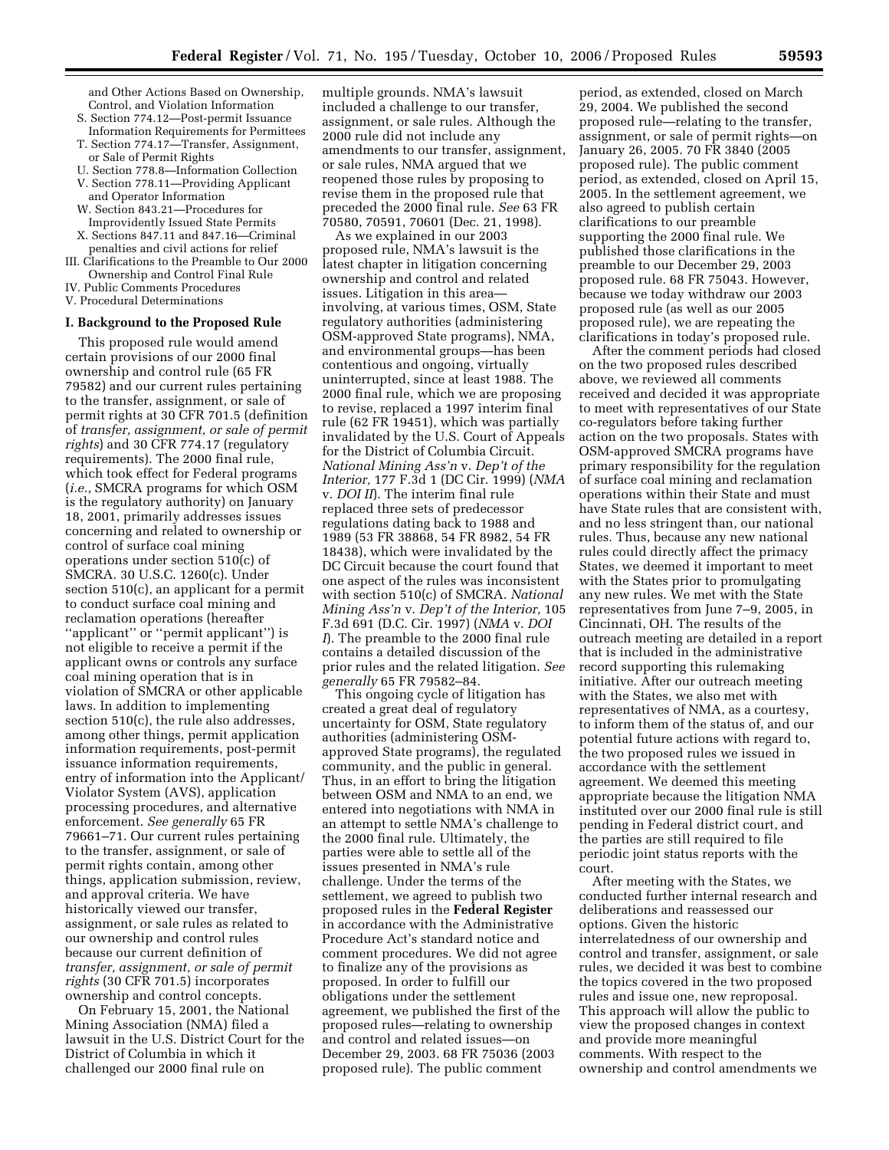and Other Actions Based on Ownership, Control, and Violation Information S. Section 774.12—Post-permit Issuance

- Information Requirements for Permittees T. Section 774.17—Transfer, Assignment,
- or Sale of Permit Rights
- U. Section 778.8—Information Collection V. Section 778.11—Providing Applicant
- and Operator Information
- W. Section 843.21—Procedures for Improvidently Issued State Permits
- X. Sections 847.11 and 847.16—Criminal penalties and civil actions for relief
- III. Clarifications to the Preamble to Our 2000 Ownership and Control Final Rule
- IV. Public Comments Procedures
- V. Procedural Determinations

### **I. Background to the Proposed Rule**

This proposed rule would amend certain provisions of our 2000 final ownership and control rule (65 FR 79582) and our current rules pertaining to the transfer, assignment, or sale of permit rights at 30 CFR 701.5 (definition of *transfer, assignment, or sale of permit rights*) and 30 CFR 774.17 (regulatory requirements). The 2000 final rule, which took effect for Federal programs (*i.e.*, SMCRA programs for which OSM is the regulatory authority) on January 18, 2001, primarily addresses issues concerning and related to ownership or control of surface coal mining operations under section 510(c) of SMCRA. 30 U.S.C. 1260(c). Under section 510(c), an applicant for a permit to conduct surface coal mining and reclamation operations (hereafter ''applicant'' or ''permit applicant'') is not eligible to receive a permit if the applicant owns or controls any surface coal mining operation that is in violation of SMCRA or other applicable laws. In addition to implementing section 510(c), the rule also addresses, among other things, permit application information requirements, post-permit issuance information requirements, entry of information into the Applicant/ Violator System (AVS), application processing procedures, and alternative enforcement. *See generally* 65 FR 79661–71. Our current rules pertaining to the transfer, assignment, or sale of permit rights contain, among other things, application submission, review, and approval criteria. We have historically viewed our transfer, assignment, or sale rules as related to our ownership and control rules because our current definition of *transfer, assignment, or sale of permit rights* (30 CFR 701.5) incorporates ownership and control concepts.

On February 15, 2001, the National Mining Association (NMA) filed a lawsuit in the U.S. District Court for the District of Columbia in which it challenged our 2000 final rule on

multiple grounds. NMA's lawsuit included a challenge to our transfer, assignment, or sale rules. Although the 2000 rule did not include any amendments to our transfer, assignment, or sale rules, NMA argued that we reopened those rules by proposing to revise them in the proposed rule that preceded the 2000 final rule. *See* 63 FR 70580, 70591, 70601 (Dec. 21, 1998).

As we explained in our 2003 proposed rule, NMA's lawsuit is the latest chapter in litigation concerning ownership and control and related issues. Litigation in this area involving, at various times, OSM, State regulatory authorities (administering OSM-approved State programs), NMA, and environmental groups—has been contentious and ongoing, virtually uninterrupted, since at least 1988. The 2000 final rule, which we are proposing to revise, replaced a 1997 interim final rule (62 FR 19451), which was partially invalidated by the U.S. Court of Appeals for the District of Columbia Circuit. *National Mining Ass'n* v. *Dep't of the Interior,* 177 F.3d 1 (DC Cir. 1999) (*NMA*  v. *DOI II*). The interim final rule replaced three sets of predecessor regulations dating back to 1988 and 1989 (53 FR 38868, 54 FR 8982, 54 FR 18438), which were invalidated by the DC Circuit because the court found that one aspect of the rules was inconsistent with section 510(c) of SMCRA. *National Mining Ass'n* v. *Dep't of the Interior,* 105 F.3d 691 (D.C. Cir. 1997) (*NMA* v. *DOI I*). The preamble to the 2000 final rule contains a detailed discussion of the prior rules and the related litigation. *See generally* 65 FR 79582–84.

This ongoing cycle of litigation has created a great deal of regulatory uncertainty for OSM, State regulatory authorities (administering OSMapproved State programs), the regulated community, and the public in general. Thus, in an effort to bring the litigation between OSM and NMA to an end, we entered into negotiations with NMA in an attempt to settle NMA's challenge to the 2000 final rule. Ultimately, the parties were able to settle all of the issues presented in NMA's rule challenge. Under the terms of the settlement, we agreed to publish two proposed rules in the **Federal Register**  in accordance with the Administrative Procedure Act's standard notice and comment procedures. We did not agree to finalize any of the provisions as proposed. In order to fulfill our obligations under the settlement agreement, we published the first of the proposed rules—relating to ownership and control and related issues—on December 29, 2003. 68 FR 75036 (2003 proposed rule). The public comment

period, as extended, closed on March 29, 2004. We published the second proposed rule—relating to the transfer, assignment, or sale of permit rights—on January 26, 2005. 70 FR 3840 (2005 proposed rule). The public comment period, as extended, closed on April 15, 2005. In the settlement agreement, we also agreed to publish certain clarifications to our preamble supporting the 2000 final rule. We published those clarifications in the preamble to our December 29, 2003 proposed rule. 68 FR 75043. However, because we today withdraw our 2003 proposed rule (as well as our 2005 proposed rule), we are repeating the clarifications in today's proposed rule.

After the comment periods had closed on the two proposed rules described above, we reviewed all comments received and decided it was appropriate to meet with representatives of our State co-regulators before taking further action on the two proposals. States with OSM-approved SMCRA programs have primary responsibility for the regulation of surface coal mining and reclamation operations within their State and must have State rules that are consistent with, and no less stringent than, our national rules. Thus, because any new national rules could directly affect the primacy States, we deemed it important to meet with the States prior to promulgating any new rules. We met with the State representatives from June 7–9, 2005, in Cincinnati, OH. The results of the outreach meeting are detailed in a report that is included in the administrative record supporting this rulemaking initiative. After our outreach meeting with the States, we also met with representatives of NMA, as a courtesy, to inform them of the status of, and our potential future actions with regard to, the two proposed rules we issued in accordance with the settlement agreement. We deemed this meeting appropriate because the litigation NMA instituted over our 2000 final rule is still pending in Federal district court, and the parties are still required to file periodic joint status reports with the court.

After meeting with the States, we conducted further internal research and deliberations and reassessed our options. Given the historic interrelatedness of our ownership and control and transfer, assignment, or sale rules, we decided it was best to combine the topics covered in the two proposed rules and issue one, new reproposal. This approach will allow the public to view the proposed changes in context and provide more meaningful comments. With respect to the ownership and control amendments we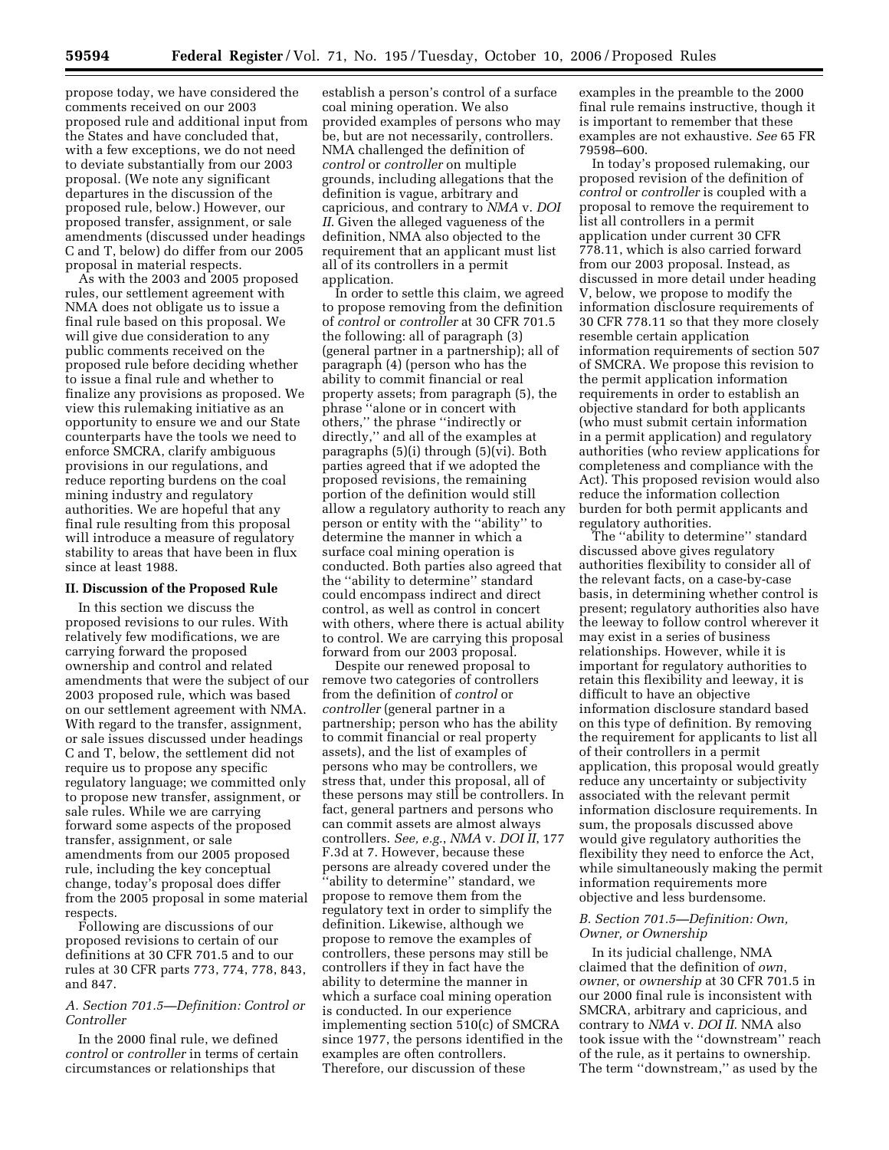propose today, we have considered the comments received on our 2003 proposed rule and additional input from the States and have concluded that, with a few exceptions, we do not need to deviate substantially from our 2003 proposal. (We note any significant departures in the discussion of the proposed rule, below.) However, our proposed transfer, assignment, or sale amendments (discussed under headings C and T, below) do differ from our 2005 proposal in material respects.

As with the 2003 and 2005 proposed rules, our settlement agreement with NMA does not obligate us to issue a final rule based on this proposal. We will give due consideration to any public comments received on the proposed rule before deciding whether to issue a final rule and whether to finalize any provisions as proposed. We view this rulemaking initiative as an opportunity to ensure we and our State counterparts have the tools we need to enforce SMCRA, clarify ambiguous provisions in our regulations, and reduce reporting burdens on the coal mining industry and regulatory authorities. We are hopeful that any final rule resulting from this proposal will introduce a measure of regulatory stability to areas that have been in flux since at least 1988.

### **II. Discussion of the Proposed Rule**

In this section we discuss the proposed revisions to our rules. With relatively few modifications, we are carrying forward the proposed ownership and control and related amendments that were the subject of our 2003 proposed rule, which was based on our settlement agreement with NMA. With regard to the transfer, assignment, or sale issues discussed under headings C and T, below, the settlement did not require us to propose any specific regulatory language; we committed only to propose new transfer, assignment, or sale rules. While we are carrying forward some aspects of the proposed transfer, assignment, or sale amendments from our 2005 proposed rule, including the key conceptual change, today's proposal does differ from the 2005 proposal in some material respects.

Following are discussions of our proposed revisions to certain of our definitions at 30 CFR 701.5 and to our rules at 30 CFR parts 773, 774, 778, 843, and 847.

### *A. Section 701.5—Definition: Control or Controller*

In the 2000 final rule, we defined *control* or *controller* in terms of certain circumstances or relationships that

establish a person's control of a surface coal mining operation. We also provided examples of persons who may be, but are not necessarily, controllers. NMA challenged the definition of *control* or *controller* on multiple grounds, including allegations that the definition is vague, arbitrary and capricious, and contrary to *NMA* v. *DOI II*. Given the alleged vagueness of the definition, NMA also objected to the requirement that an applicant must list all of its controllers in a permit application.

In order to settle this claim, we agreed to propose removing from the definition of *control* or *controller* at 30 CFR 701.5 the following: all of paragraph (3) (general partner in a partnership); all of paragraph (4) (person who has the ability to commit financial or real property assets; from paragraph (5), the phrase ''alone or in concert with others,'' the phrase ''indirectly or directly,'' and all of the examples at paragraphs (5)(i) through (5)(vi). Both parties agreed that if we adopted the proposed revisions, the remaining portion of the definition would still allow a regulatory authority to reach any person or entity with the ''ability'' to determine the manner in which a surface coal mining operation is conducted. Both parties also agreed that the ''ability to determine'' standard could encompass indirect and direct control, as well as control in concert with others, where there is actual ability to control. We are carrying this proposal forward from our 2003 proposal.

Despite our renewed proposal to remove two categories of controllers from the definition of *control* or *controller* (general partner in a partnership; person who has the ability to commit financial or real property assets), and the list of examples of persons who may be controllers, we stress that, under this proposal, all of these persons may still be controllers. In fact, general partners and persons who can commit assets are almost always controllers. *See, e.g.*, *NMA* v. *DOI II*, 177 F.3d at 7. However, because these persons are already covered under the ''ability to determine'' standard, we propose to remove them from the regulatory text in order to simplify the definition. Likewise, although we propose to remove the examples of controllers, these persons may still be controllers if they in fact have the ability to determine the manner in which a surface coal mining operation is conducted. In our experience implementing section 510(c) of SMCRA since 1977, the persons identified in the examples are often controllers. Therefore, our discussion of these

examples in the preamble to the 2000 final rule remains instructive, though it is important to remember that these examples are not exhaustive. *See* 65 FR 79598–600.

In today's proposed rulemaking, our proposed revision of the definition of *control* or *controller* is coupled with a proposal to remove the requirement to list all controllers in a permit application under current 30 CFR 778.11, which is also carried forward from our 2003 proposal. Instead, as discussed in more detail under heading V, below, we propose to modify the information disclosure requirements of 30 CFR 778.11 so that they more closely resemble certain application information requirements of section 507 of SMCRA. We propose this revision to the permit application information requirements in order to establish an objective standard for both applicants (who must submit certain information in a permit application) and regulatory authorities (who review applications for completeness and compliance with the Act). This proposed revision would also reduce the information collection burden for both permit applicants and regulatory authorities.

The ''ability to determine'' standard discussed above gives regulatory authorities flexibility to consider all of the relevant facts, on a case-by-case basis, in determining whether control is present; regulatory authorities also have the leeway to follow control wherever it may exist in a series of business relationships. However, while it is important for regulatory authorities to retain this flexibility and leeway, it is difficult to have an objective information disclosure standard based on this type of definition. By removing the requirement for applicants to list all of their controllers in a permit application, this proposal would greatly reduce any uncertainty or subjectivity associated with the relevant permit information disclosure requirements. In sum, the proposals discussed above would give regulatory authorities the flexibility they need to enforce the Act, while simultaneously making the permit information requirements more objective and less burdensome.

### *B. Section 701.5—Definition: Own, Owner, or Ownership*

In its judicial challenge, NMA claimed that the definition of *own*, *owner*, or *ownership* at 30 CFR 701.5 in our 2000 final rule is inconsistent with SMCRA, arbitrary and capricious, and contrary to *NMA* v. *DOI II*. NMA also took issue with the ''downstream'' reach of the rule, as it pertains to ownership. The term ''downstream,'' as used by the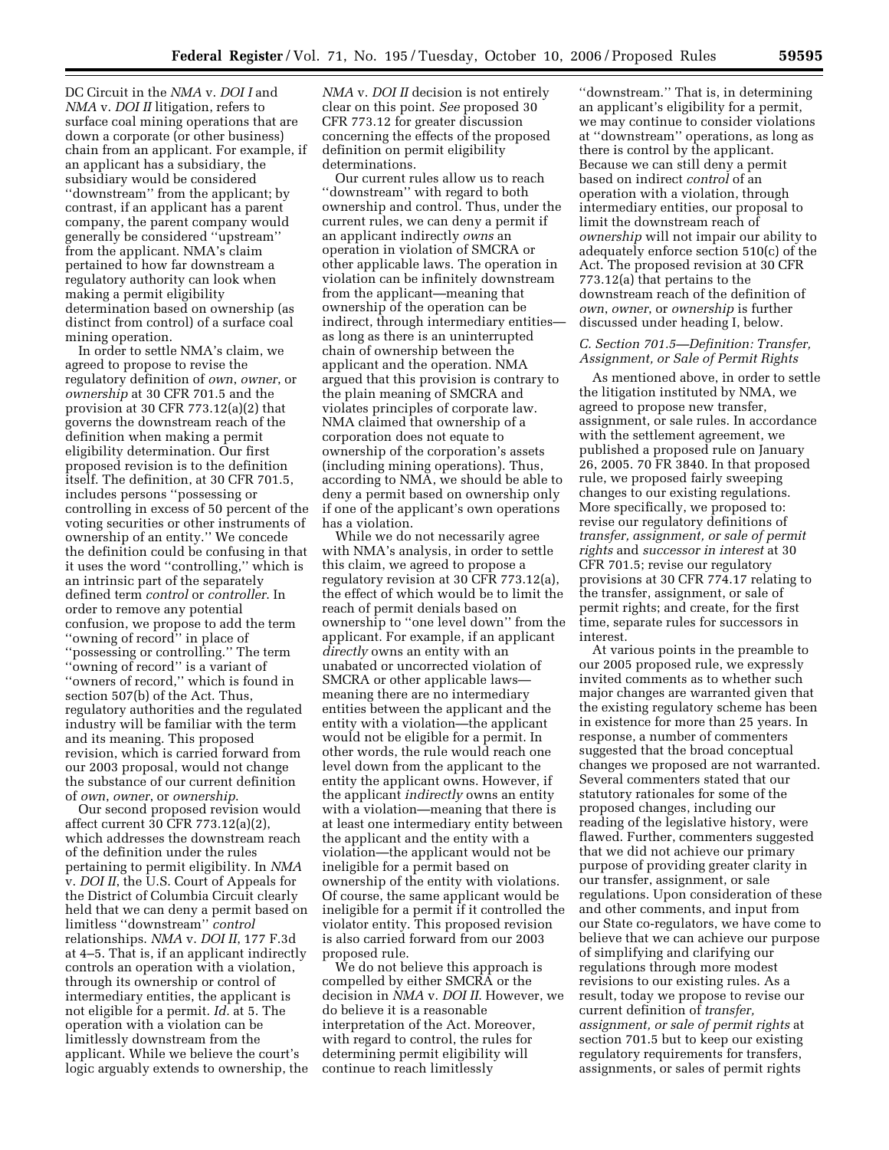DC Circuit in the *NMA* v. *DOI I* and *NMA* v. *DOI II* litigation, refers to surface coal mining operations that are down a corporate (or other business) chain from an applicant. For example, if an applicant has a subsidiary, the subsidiary would be considered ''downstream'' from the applicant; by contrast, if an applicant has a parent company, the parent company would generally be considered ''upstream'' from the applicant. NMA's claim pertained to how far downstream a regulatory authority can look when making a permit eligibility determination based on ownership (as distinct from control) of a surface coal mining operation.

In order to settle NMA's claim, we agreed to propose to revise the regulatory definition of *own*, *owner*, or *ownership* at 30 CFR 701.5 and the provision at 30 CFR 773.12(a)(2) that governs the downstream reach of the definition when making a permit eligibility determination. Our first proposed revision is to the definition itself. The definition, at 30 CFR 701.5, includes persons ''possessing or controlling in excess of 50 percent of the voting securities or other instruments of ownership of an entity.'' We concede the definition could be confusing in that it uses the word ''controlling,'' which is an intrinsic part of the separately defined term *control* or *controller*. In order to remove any potential confusion, we propose to add the term ''owning of record'' in place of ''possessing or controlling.'' The term ''owning of record'' is a variant of ''owners of record,'' which is found in section 507(b) of the Act. Thus, regulatory authorities and the regulated industry will be familiar with the term and its meaning. This proposed revision, which is carried forward from our 2003 proposal, would not change the substance of our current definition of *own*, *owner*, or *ownership*.

Our second proposed revision would affect current 30 CFR 773.12(a)(2), which addresses the downstream reach of the definition under the rules pertaining to permit eligibility. In *NMA*  v. *DOI II*, the U.S. Court of Appeals for the District of Columbia Circuit clearly held that we can deny a permit based on limitless ''downstream'' *control*  relationships. *NMA* v. *DOI II*, 177 F.3d at 4–5. That is, if an applicant indirectly controls an operation with a violation, through its ownership or control of intermediary entities, the applicant is not eligible for a permit. *Id.* at 5. The operation with a violation can be limitlessly downstream from the applicant. While we believe the court's logic arguably extends to ownership, the

*NMA* v. *DOI II* decision is not entirely clear on this point. *See* proposed 30 CFR 773.12 for greater discussion concerning the effects of the proposed definition on permit eligibility determinations.

Our current rules allow us to reach ''downstream'' with regard to both ownership and control. Thus, under the current rules, we can deny a permit if an applicant indirectly *owns* an operation in violation of SMCRA or other applicable laws. The operation in violation can be infinitely downstream from the applicant—meaning that ownership of the operation can be indirect, through intermediary entities as long as there is an uninterrupted chain of ownership between the applicant and the operation. NMA argued that this provision is contrary to the plain meaning of SMCRA and violates principles of corporate law. NMA claimed that ownership of a corporation does not equate to ownership of the corporation's assets (including mining operations). Thus, according to NMA, we should be able to deny a permit based on ownership only if one of the applicant's own operations has a violation.

While we do not necessarily agree with NMA's analysis, in order to settle this claim, we agreed to propose a regulatory revision at 30 CFR 773.12(a), the effect of which would be to limit the reach of permit denials based on ownership to ''one level down'' from the applicant. For example, if an applicant *directly* owns an entity with an unabated or uncorrected violation of SMCRA or other applicable laws meaning there are no intermediary entities between the applicant and the entity with a violation—the applicant would not be eligible for a permit. In other words, the rule would reach one level down from the applicant to the entity the applicant owns. However, if the applicant *indirectly* owns an entity with a violation—meaning that there is at least one intermediary entity between the applicant and the entity with a violation—the applicant would not be ineligible for a permit based on ownership of the entity with violations. Of course, the same applicant would be ineligible for a permit if it controlled the violator entity. This proposed revision is also carried forward from our 2003 proposed rule.

We do not believe this approach is compelled by either SMCRA or the decision in *NMA* v. *DOI II*. However, we do believe it is a reasonable interpretation of the Act. Moreover, with regard to control, the rules for determining permit eligibility will continue to reach limitlessly

''downstream.'' That is, in determining an applicant's eligibility for a permit, we may continue to consider violations at ''downstream'' operations, as long as there is control by the applicant. Because we can still deny a permit based on indirect *control* of an operation with a violation, through intermediary entities, our proposal to limit the downstream reach of *ownership* will not impair our ability to adequately enforce section 510(c) of the Act. The proposed revision at 30 CFR 773.12(a) that pertains to the downstream reach of the definition of *own*, *owner*, or *ownership* is further discussed under heading I, below.

### *C. Section 701.5—Definition: Transfer, Assignment, or Sale of Permit Rights*

As mentioned above, in order to settle the litigation instituted by NMA, we agreed to propose new transfer, assignment, or sale rules. In accordance with the settlement agreement, we published a proposed rule on January 26, 2005. 70 FR 3840. In that proposed rule, we proposed fairly sweeping changes to our existing regulations. More specifically, we proposed to: revise our regulatory definitions of *transfer, assignment, or sale of permit rights* and *successor in interest* at 30 CFR 701.5; revise our regulatory provisions at 30 CFR 774.17 relating to the transfer, assignment, or sale of permit rights; and create, for the first time, separate rules for successors in interest.

At various points in the preamble to our 2005 proposed rule, we expressly invited comments as to whether such major changes are warranted given that the existing regulatory scheme has been in existence for more than 25 years. In response, a number of commenters suggested that the broad conceptual changes we proposed are not warranted. Several commenters stated that our statutory rationales for some of the proposed changes, including our reading of the legislative history, were flawed. Further, commenters suggested that we did not achieve our primary purpose of providing greater clarity in our transfer, assignment, or sale regulations. Upon consideration of these and other comments, and input from our State co-regulators, we have come to believe that we can achieve our purpose of simplifying and clarifying our regulations through more modest revisions to our existing rules. As a result, today we propose to revise our current definition of *transfer, assignment, or sale of permit rights* at section 701.5 but to keep our existing regulatory requirements for transfers, assignments, or sales of permit rights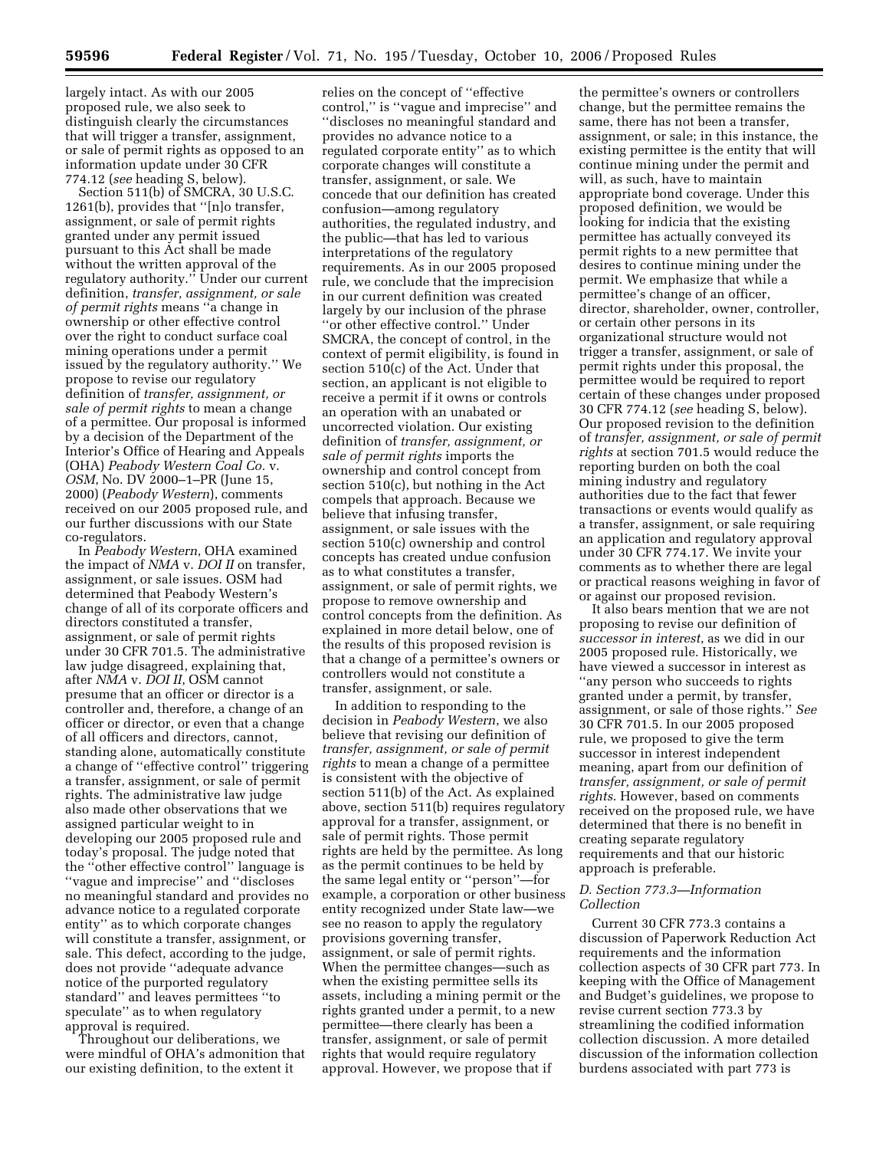largely intact. As with our 2005 proposed rule, we also seek to distinguish clearly the circumstances that will trigger a transfer, assignment, or sale of permit rights as opposed to an information update under 30 CFR 774.12 (*see* heading S, below).

Section 511(b) of SMCRA, 30 U.S.C. 1261(b), provides that ''[n]o transfer, assignment, or sale of permit rights granted under any permit issued pursuant to this Act shall be made without the written approval of the regulatory authority.'' Under our current definition, *transfer, assignment, or sale of permit rights* means ''a change in ownership or other effective control over the right to conduct surface coal mining operations under a permit issued by the regulatory authority.'' We propose to revise our regulatory definition of *transfer, assignment, or sale of permit rights* to mean a change of a permittee. Our proposal is informed by a decision of the Department of the Interior's Office of Hearing and Appeals (OHA) *Peabody Western Coal Co.* v. *OSM*, No. DV 2000–1–PR (June 15, 2000) (*Peabody Western*), comments received on our 2005 proposed rule, and our further discussions with our State co-regulators.

In *Peabody Western*, OHA examined the impact of *NMA* v. *DOI II* on transfer, assignment, or sale issues. OSM had determined that Peabody Western's change of all of its corporate officers and directors constituted a transfer, assignment, or sale of permit rights under 30 CFR 701.5. The administrative law judge disagreed, explaining that, after *NMA* v. *DOI II*, OSM cannot presume that an officer or director is a controller and, therefore, a change of an officer or director, or even that a change of all officers and directors, cannot, standing alone, automatically constitute a change of ''effective control'' triggering a transfer, assignment, or sale of permit rights. The administrative law judge also made other observations that we assigned particular weight to in developing our 2005 proposed rule and today's proposal. The judge noted that the ''other effective control'' language is ''vague and imprecise'' and ''discloses no meaningful standard and provides no advance notice to a regulated corporate entity'' as to which corporate changes will constitute a transfer, assignment, or sale. This defect, according to the judge, does not provide ''adequate advance notice of the purported regulatory standard'' and leaves permittees ''to speculate'' as to when regulatory approval is required.

Throughout our deliberations, we were mindful of OHA's admonition that our existing definition, to the extent it

relies on the concept of ''effective control,'' is ''vague and imprecise'' and ''discloses no meaningful standard and provides no advance notice to a regulated corporate entity'' as to which corporate changes will constitute a transfer, assignment, or sale. We concede that our definition has created confusion—among regulatory authorities, the regulated industry, and the public—that has led to various interpretations of the regulatory requirements. As in our 2005 proposed rule, we conclude that the imprecision in our current definition was created largely by our inclusion of the phrase ''or other effective control.'' Under SMCRA, the concept of control, in the context of permit eligibility, is found in section 510(c) of the Act. Under that section, an applicant is not eligible to receive a permit if it owns or controls an operation with an unabated or uncorrected violation. Our existing definition of *transfer, assignment, or sale of permit rights* imports the ownership and control concept from section 510(c), but nothing in the Act compels that approach. Because we believe that infusing transfer, assignment, or sale issues with the section 510(c) ownership and control concepts has created undue confusion as to what constitutes a transfer, assignment, or sale of permit rights, we propose to remove ownership and control concepts from the definition. As explained in more detail below, one of the results of this proposed revision is that a change of a permittee's owners or controllers would not constitute a transfer, assignment, or sale.

In addition to responding to the decision in *Peabody Western*, we also believe that revising our definition of *transfer, assignment, or sale of permit rights* to mean a change of a permittee is consistent with the objective of section 511(b) of the Act. As explained above, section 511(b) requires regulatory approval for a transfer, assignment, or sale of permit rights. Those permit rights are held by the permittee. As long as the permit continues to be held by the same legal entity or ''person''—for example, a corporation or other business entity recognized under State law—we see no reason to apply the regulatory provisions governing transfer, assignment, or sale of permit rights. When the permittee changes—such as when the existing permittee sells its assets, including a mining permit or the rights granted under a permit, to a new permittee—there clearly has been a transfer, assignment, or sale of permit rights that would require regulatory approval. However, we propose that if

the permittee's owners or controllers change, but the permittee remains the same, there has not been a transfer, assignment, or sale; in this instance, the existing permittee is the entity that will continue mining under the permit and will, as such, have to maintain appropriate bond coverage. Under this proposed definition, we would be looking for indicia that the existing permittee has actually conveyed its permit rights to a new permittee that desires to continue mining under the permit. We emphasize that while a permittee's change of an officer, director, shareholder, owner, controller, or certain other persons in its organizational structure would not trigger a transfer, assignment, or sale of permit rights under this proposal, the permittee would be required to report certain of these changes under proposed 30 CFR 774.12 (*see* heading S, below). Our proposed revision to the definition of *transfer, assignment, or sale of permit rights* at section 701.5 would reduce the reporting burden on both the coal mining industry and regulatory authorities due to the fact that fewer transactions or events would qualify as a transfer, assignment, or sale requiring an application and regulatory approval under 30 CFR 774.17. We invite your comments as to whether there are legal or practical reasons weighing in favor of or against our proposed revision.

It also bears mention that we are not proposing to revise our definition of *successor in interest*, as we did in our 2005 proposed rule. Historically, we have viewed a successor in interest as ''any person who succeeds to rights granted under a permit, by transfer, assignment, or sale of those rights.'' *See*  30 CFR 701.5. In our 2005 proposed rule, we proposed to give the term successor in interest independent meaning, apart from our definition of *transfer, assignment, or sale of permit rights*. However, based on comments received on the proposed rule, we have determined that there is no benefit in creating separate regulatory requirements and that our historic approach is preferable.

#### *D. Section 773.3—Information Collection*

Current 30 CFR 773.3 contains a discussion of Paperwork Reduction Act requirements and the information collection aspects of 30 CFR part 773. In keeping with the Office of Management and Budget's guidelines, we propose to revise current section 773.3 by streamlining the codified information collection discussion. A more detailed discussion of the information collection burdens associated with part 773 is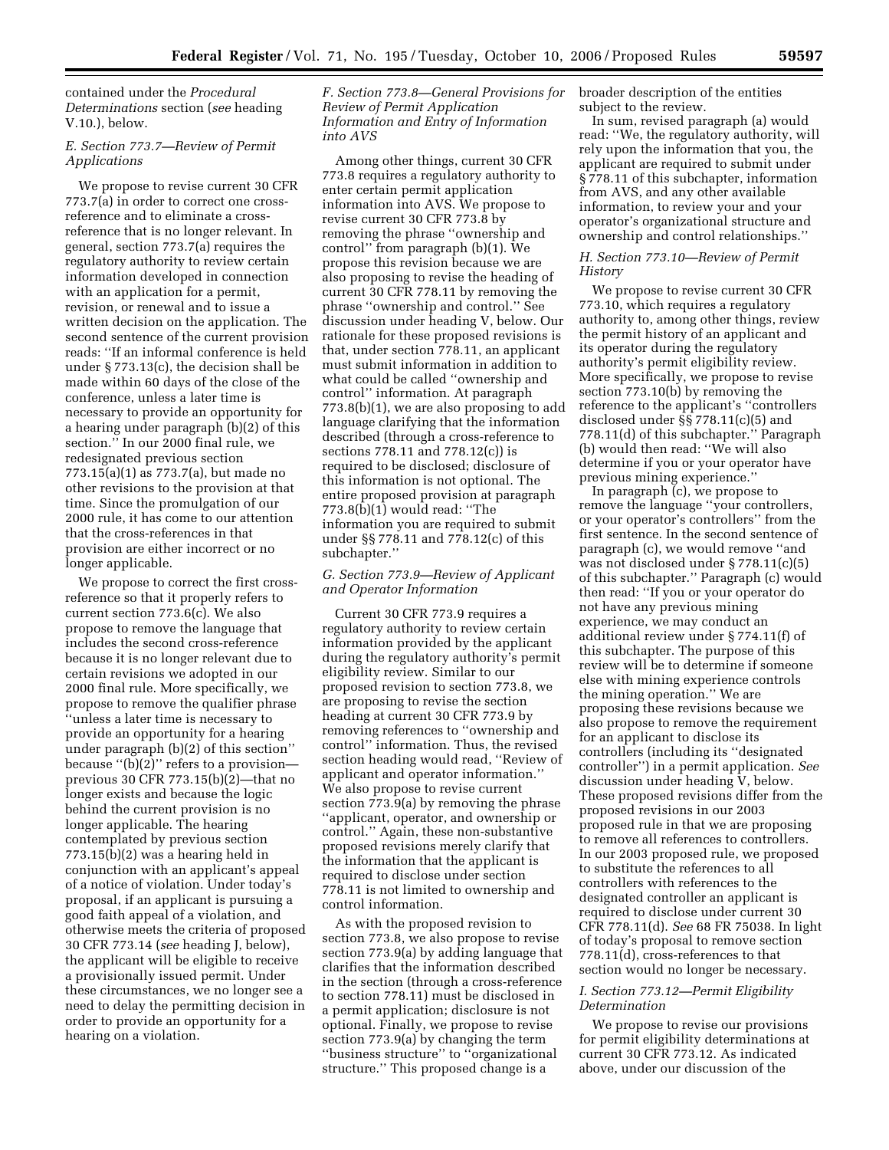contained under the *Procedural Determinations* section (*see* heading V.10.), below.

### *E. Section 773.7—Review of Permit Applications*

We propose to revise current 30 CFR 773.7(a) in order to correct one crossreference and to eliminate a crossreference that is no longer relevant. In general, section 773.7(a) requires the regulatory authority to review certain information developed in connection with an application for a permit, revision, or renewal and to issue a written decision on the application. The second sentence of the current provision reads: ''If an informal conference is held under § 773.13(c), the decision shall be made within 60 days of the close of the conference, unless a later time is necessary to provide an opportunity for a hearing under paragraph (b)(2) of this section.'' In our 2000 final rule, we redesignated previous section 773.15(a)(1) as 773.7(a), but made no other revisions to the provision at that time. Since the promulgation of our 2000 rule, it has come to our attention that the cross-references in that provision are either incorrect or no longer applicable.

We propose to correct the first crossreference so that it properly refers to current section 773.6(c). We also propose to remove the language that includes the second cross-reference because it is no longer relevant due to certain revisions we adopted in our 2000 final rule. More specifically, we propose to remove the qualifier phrase ''unless a later time is necessary to provide an opportunity for a hearing under paragraph (b)(2) of this section'' because ''(b)(2)'' refers to a provision previous 30 CFR 773.15(b)(2)—that no longer exists and because the logic behind the current provision is no longer applicable. The hearing contemplated by previous section 773.15(b)(2) was a hearing held in conjunction with an applicant's appeal of a notice of violation. Under today's proposal, if an applicant is pursuing a good faith appeal of a violation, and otherwise meets the criteria of proposed 30 CFR 773.14 (*see* heading J, below), the applicant will be eligible to receive a provisionally issued permit. Under these circumstances, we no longer see a need to delay the permitting decision in order to provide an opportunity for a hearing on a violation.

*F. Section 773.8—General Provisions for Review of Permit Application Information and Entry of Information into AVS* 

Among other things, current 30 CFR 773.8 requires a regulatory authority to enter certain permit application information into AVS. We propose to revise current 30 CFR 773.8 by removing the phrase ''ownership and control'' from paragraph (b)(1). We propose this revision because we are also proposing to revise the heading of current 30 CFR 778.11 by removing the phrase ''ownership and control.'' See discussion under heading V, below. Our rationale for these proposed revisions is that, under section 778.11, an applicant must submit information in addition to what could be called ''ownership and control'' information. At paragraph 773.8(b)(1), we are also proposing to add language clarifying that the information described (through a cross-reference to sections 778.11 and 778.12(c)) is required to be disclosed; disclosure of this information is not optional. The entire proposed provision at paragraph  $773.8(b)(1)$  would read: "The information you are required to submit under §§ 778.11 and 778.12(c) of this subchapter.''

### *G. Section 773.9—Review of Applicant and Operator Information*

Current 30 CFR 773.9 requires a regulatory authority to review certain information provided by the applicant during the regulatory authority's permit eligibility review. Similar to our proposed revision to section 773.8, we are proposing to revise the section heading at current 30 CFR 773.9 by removing references to ''ownership and control'' information. Thus, the revised section heading would read, ''Review of applicant and operator information.'' We also propose to revise current section 773.9(a) by removing the phrase ''applicant, operator, and ownership or control.'' Again, these non-substantive proposed revisions merely clarify that the information that the applicant is required to disclose under section 778.11 is not limited to ownership and control information.

As with the proposed revision to section 773.8, we also propose to revise section 773.9(a) by adding language that clarifies that the information described in the section (through a cross-reference to section 778.11) must be disclosed in a permit application; disclosure is not optional. Finally, we propose to revise section 773.9(a) by changing the term ''business structure'' to ''organizational structure.'' This proposed change is a

broader description of the entities subject to the review.

In sum, revised paragraph (a) would read: ''We, the regulatory authority, will rely upon the information that you, the applicant are required to submit under § 778.11 of this subchapter, information from AVS, and any other available information, to review your and your operator's organizational structure and ownership and control relationships.''

### *H. Section 773.10—Review of Permit History*

We propose to revise current 30 CFR 773.10, which requires a regulatory authority to, among other things, review the permit history of an applicant and its operator during the regulatory authority's permit eligibility review. More specifically, we propose to revise section 773.10(b) by removing the reference to the applicant's ''controllers disclosed under §§ 778.11(c)(5) and 778.11(d) of this subchapter.'' Paragraph (b) would then read: ''We will also determine if you or your operator have previous mining experience.''

In paragraph (c), we propose to remove the language ''your controllers, or your operator's controllers'' from the first sentence. In the second sentence of paragraph (c), we would remove ''and was not disclosed under § 778.11(c)(5) of this subchapter.'' Paragraph (c) would then read: ''If you or your operator do not have any previous mining experience, we may conduct an additional review under § 774.11(f) of this subchapter. The purpose of this review will be to determine if someone else with mining experience controls the mining operation.'' We are proposing these revisions because we also propose to remove the requirement for an applicant to disclose its controllers (including its ''designated controller'') in a permit application. *See*  discussion under heading V, below. These proposed revisions differ from the proposed revisions in our 2003 proposed rule in that we are proposing to remove all references to controllers. In our 2003 proposed rule, we proposed to substitute the references to all controllers with references to the designated controller an applicant is required to disclose under current 30 CFR 778.11(d). *See* 68 FR 75038. In light of today's proposal to remove section 778.11(d), cross-references to that section would no longer be necessary.

## *I. Section 773.12—Permit Eligibility Determination*

We propose to revise our provisions for permit eligibility determinations at current 30 CFR 773.12. As indicated above, under our discussion of the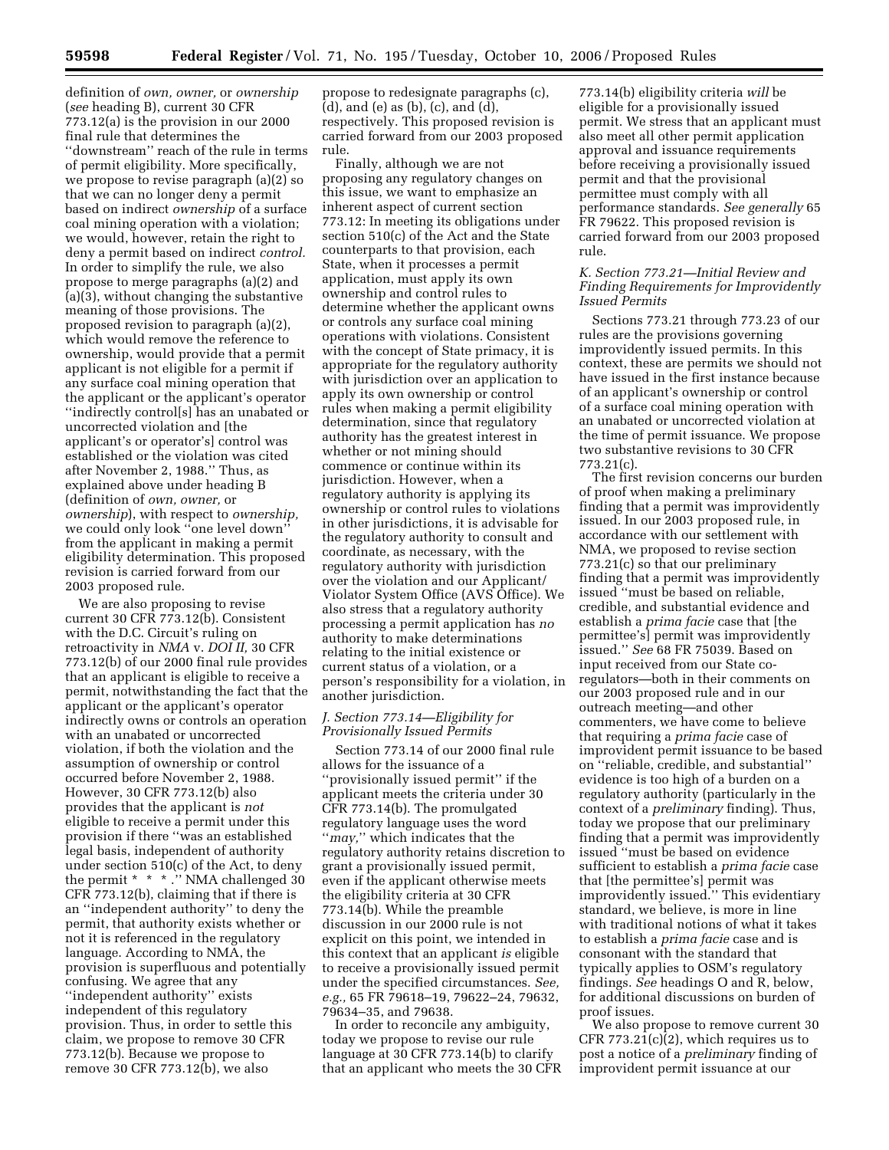definition of *own, owner,* or *ownership*  (*see* heading B), current 30 CFR 773.12(a) is the provision in our 2000 final rule that determines the ''downstream'' reach of the rule in terms of permit eligibility. More specifically, we propose to revise paragraph (a)(2) so that we can no longer deny a permit based on indirect *ownership* of a surface coal mining operation with a violation; we would, however, retain the right to deny a permit based on indirect *control.*  In order to simplify the rule, we also propose to merge paragraphs (a)(2) and (a)(3), without changing the substantive meaning of those provisions. The proposed revision to paragraph (a)(2), which would remove the reference to ownership, would provide that a permit applicant is not eligible for a permit if any surface coal mining operation that the applicant or the applicant's operator ''indirectly control[s] has an unabated or uncorrected violation and [the applicant's or operator's] control was established or the violation was cited after November 2, 1988.'' Thus, as explained above under heading B (definition of *own, owner,* or *ownership*), with respect to *ownership,*  we could only look ''one level down'' from the applicant in making a permit eligibility determination. This proposed revision is carried forward from our 2003 proposed rule.

We are also proposing to revise current 30 CFR 773.12(b). Consistent with the D.C. Circuit's ruling on retroactivity in *NMA* v. *DOI II,* 30 CFR 773.12(b) of our 2000 final rule provides that an applicant is eligible to receive a permit, notwithstanding the fact that the applicant or the applicant's operator indirectly owns or controls an operation with an unabated or uncorrected violation, if both the violation and the assumption of ownership or control occurred before November 2, 1988. However, 30 CFR 773.12(b) also provides that the applicant is *not*  eligible to receive a permit under this provision if there ''was an established legal basis, independent of authority under section 510(c) of the Act, to deny the permit \* \* \* ." NMA challenged 30 CFR 773.12(b), claiming that if there is an ''independent authority'' to deny the permit, that authority exists whether or not it is referenced in the regulatory language. According to NMA, the provision is superfluous and potentially confusing. We agree that any ''independent authority'' exists independent of this regulatory provision. Thus, in order to settle this claim, we propose to remove 30 CFR 773.12(b). Because we propose to remove 30 CFR 773.12(b), we also

propose to redesignate paragraphs (c), (d), and (e) as (b), (c), and (d), respectively. This proposed revision is carried forward from our 2003 proposed rule.

Finally, although we are not proposing any regulatory changes on this issue, we want to emphasize an inherent aspect of current section 773.12: In meeting its obligations under section 510(c) of the Act and the State counterparts to that provision, each State, when it processes a permit application, must apply its own ownership and control rules to determine whether the applicant owns or controls any surface coal mining operations with violations. Consistent with the concept of State primacy, it is appropriate for the regulatory authority with jurisdiction over an application to apply its own ownership or control rules when making a permit eligibility determination, since that regulatory authority has the greatest interest in whether or not mining should commence or continue within its jurisdiction. However, when a regulatory authority is applying its ownership or control rules to violations in other jurisdictions, it is advisable for the regulatory authority to consult and coordinate, as necessary, with the regulatory authority with jurisdiction over the violation and our Applicant/ Violator System Office (AVS Office). We also stress that a regulatory authority processing a permit application has *no*  authority to make determinations relating to the initial existence or current status of a violation, or a person's responsibility for a violation, in another jurisdiction.

### *J. Section 773.14—Eligibility for Provisionally Issued Permits*

Section 773.14 of our 2000 final rule allows for the issuance of a ''provisionally issued permit'' if the applicant meets the criteria under 30 CFR 773.14(b). The promulgated regulatory language uses the word ''*may,*'' which indicates that the regulatory authority retains discretion to grant a provisionally issued permit, even if the applicant otherwise meets the eligibility criteria at 30 CFR 773.14(b). While the preamble discussion in our 2000 rule is not explicit on this point, we intended in this context that an applicant *is* eligible to receive a provisionally issued permit under the specified circumstances. *See, e.g.,* 65 FR 79618–19, 79622–24, 79632, 79634–35, and 79638.

In order to reconcile any ambiguity, today we propose to revise our rule language at 30 CFR 773.14(b) to clarify that an applicant who meets the 30 CFR

773.14(b) eligibility criteria *will* be eligible for a provisionally issued permit. We stress that an applicant must also meet all other permit application approval and issuance requirements before receiving a provisionally issued permit and that the provisional permittee must comply with all performance standards. *See generally* 65 FR 79622. This proposed revision is carried forward from our 2003 proposed rule.

### *K. Section 773.21—Initial Review and Finding Requirements for Improvidently Issued Permits*

Sections 773.21 through 773.23 of our rules are the provisions governing improvidently issued permits. In this context, these are permits we should not have issued in the first instance because of an applicant's ownership or control of a surface coal mining operation with an unabated or uncorrected violation at the time of permit issuance. We propose two substantive revisions to 30 CFR 773.21(c).

The first revision concerns our burden of proof when making a preliminary finding that a permit was improvidently issued. In our 2003 proposed rule, in accordance with our settlement with NMA, we proposed to revise section 773.21(c) so that our preliminary finding that a permit was improvidently issued ''must be based on reliable, credible, and substantial evidence and establish a *prima facie* case that [the permittee's] permit was improvidently issued.'' *See* 68 FR 75039. Based on input received from our State coregulators—both in their comments on our 2003 proposed rule and in our outreach meeting—and other commenters, we have come to believe that requiring a *prima facie* case of improvident permit issuance to be based on ''reliable, credible, and substantial'' evidence is too high of a burden on a regulatory authority (particularly in the context of a *preliminary* finding). Thus, today we propose that our preliminary finding that a permit was improvidently issued ''must be based on evidence sufficient to establish a *prima facie* case that [the permittee's] permit was improvidently issued.'' This evidentiary standard, we believe, is more in line with traditional notions of what it takes to establish a *prima facie* case and is consonant with the standard that typically applies to OSM's regulatory findings. *See* headings O and R, below, for additional discussions on burden of proof issues.

We also propose to remove current 30 CFR 773.21(c)(2), which requires us to post a notice of a *preliminary* finding of improvident permit issuance at our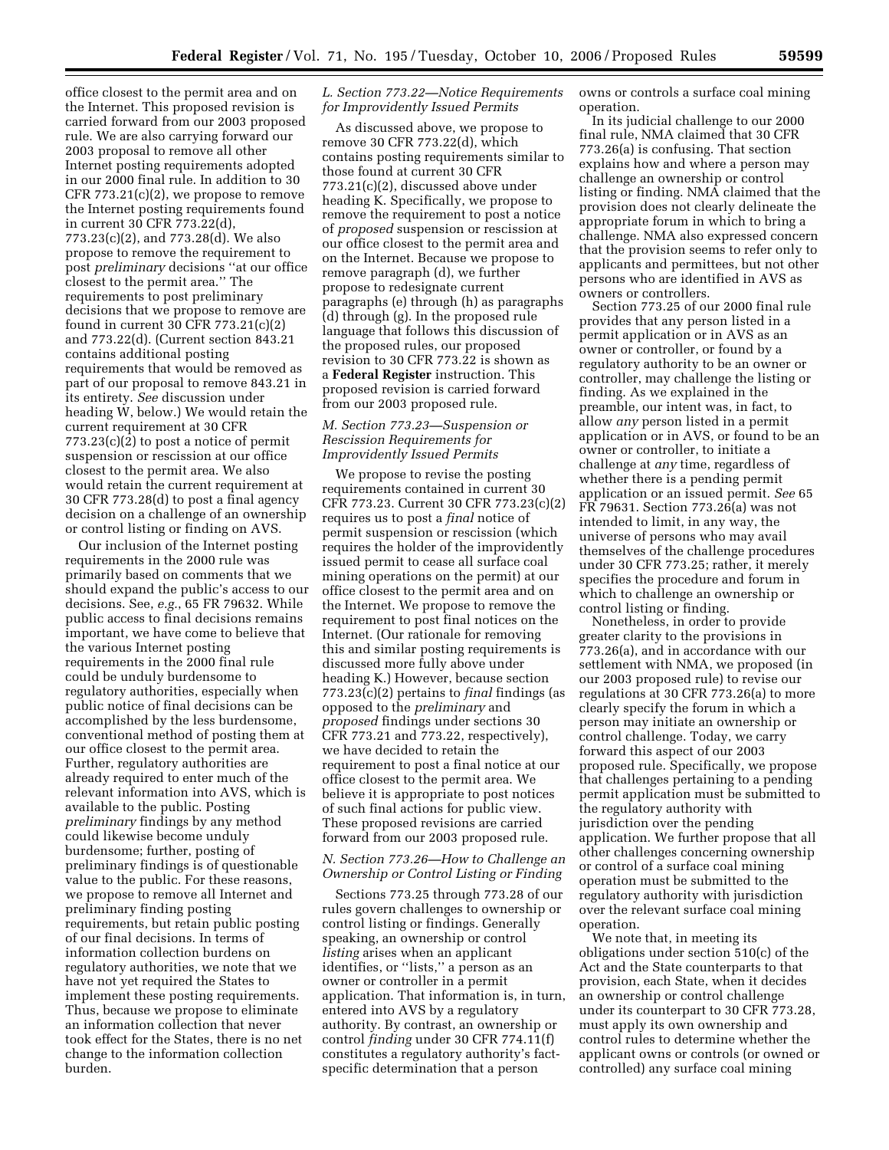office closest to the permit area and on the Internet. This proposed revision is carried forward from our 2003 proposed rule. We are also carrying forward our 2003 proposal to remove all other Internet posting requirements adopted in our 2000 final rule. In addition to 30 CFR 773.21(c)(2), we propose to remove the Internet posting requirements found in current 30 CFR 773.22(d), 773.23(c)(2), and 773.28(d). We also propose to remove the requirement to post *preliminary* decisions ''at our office closest to the permit area.'' The requirements to post preliminary decisions that we propose to remove are found in current 30 CFR 773.21(c)(2) and 773.22(d). (Current section 843.21 contains additional posting requirements that would be removed as part of our proposal to remove 843.21 in its entirety. *See* discussion under heading W, below.) We would retain the current requirement at 30 CFR  $773.23(c)(2)$  to post a notice of permit suspension or rescission at our office closest to the permit area. We also would retain the current requirement at 30 CFR 773.28(d) to post a final agency decision on a challenge of an ownership or control listing or finding on AVS.

Our inclusion of the Internet posting requirements in the 2000 rule was primarily based on comments that we should expand the public's access to our decisions. See, *e.g.*, 65 FR 79632. While public access to final decisions remains important, we have come to believe that the various Internet posting requirements in the 2000 final rule could be unduly burdensome to regulatory authorities, especially when public notice of final decisions can be accomplished by the less burdensome, conventional method of posting them at our office closest to the permit area. Further, regulatory authorities are already required to enter much of the relevant information into AVS, which is available to the public. Posting *preliminary* findings by any method could likewise become unduly burdensome; further, posting of preliminary findings is of questionable value to the public. For these reasons, we propose to remove all Internet and preliminary finding posting requirements, but retain public posting of our final decisions. In terms of information collection burdens on regulatory authorities, we note that we have not yet required the States to implement these posting requirements. Thus, because we propose to eliminate an information collection that never took effect for the States, there is no net change to the information collection burden.

### *L. Section 773.22—Notice Requirements for Improvidently Issued Permits*

As discussed above, we propose to remove 30 CFR 773.22(d), which contains posting requirements similar to those found at current 30 CFR 773.21(c)(2), discussed above under heading K. Specifically, we propose to remove the requirement to post a notice of *proposed* suspension or rescission at our office closest to the permit area and on the Internet. Because we propose to remove paragraph (d), we further propose to redesignate current paragraphs (e) through (h) as paragraphs (d) through (g). In the proposed rule language that follows this discussion of the proposed rules, our proposed revision to 30 CFR 773.22 is shown as a **Federal Register** instruction. This proposed revision is carried forward from our 2003 proposed rule.

### *M. Section 773.23—Suspension or Rescission Requirements for Improvidently Issued Permits*

We propose to revise the posting requirements contained in current 30 CFR 773.23. Current 30 CFR 773.23(c)(2) requires us to post a *final* notice of permit suspension or rescission (which requires the holder of the improvidently issued permit to cease all surface coal mining operations on the permit) at our office closest to the permit area and on the Internet. We propose to remove the requirement to post final notices on the Internet. (Our rationale for removing this and similar posting requirements is discussed more fully above under heading K.) However, because section 773.23(c)(2) pertains to *final* findings (as opposed to the *preliminary* and *proposed* findings under sections 30 CFR 773.21 and 773.22, respectively), we have decided to retain the requirement to post a final notice at our office closest to the permit area. We believe it is appropriate to post notices of such final actions for public view. These proposed revisions are carried forward from our 2003 proposed rule.

# *N. Section 773.26—How to Challenge an Ownership or Control Listing or Finding*

Sections 773.25 through 773.28 of our rules govern challenges to ownership or control listing or findings. Generally speaking, an ownership or control *listing* arises when an applicant identifies, or ''lists,'' a person as an owner or controller in a permit application. That information is, in turn, entered into AVS by a regulatory authority. By contrast, an ownership or control *finding* under 30 CFR 774.11(f) constitutes a regulatory authority's factspecific determination that a person

owns or controls a surface coal mining operation.

In its judicial challenge to our 2000 final rule, NMA claimed that 30 CFR 773.26(a) is confusing. That section explains how and where a person may challenge an ownership or control listing or finding. NMA claimed that the provision does not clearly delineate the appropriate forum in which to bring a challenge. NMA also expressed concern that the provision seems to refer only to applicants and permittees, but not other persons who are identified in AVS as owners or controllers.

Section 773.25 of our 2000 final rule provides that any person listed in a permit application or in AVS as an owner or controller, or found by a regulatory authority to be an owner or controller, may challenge the listing or finding. As we explained in the preamble, our intent was, in fact, to allow *any* person listed in a permit application or in AVS, or found to be an owner or controller, to initiate a challenge at *any* time, regardless of whether there is a pending permit application or an issued permit. *See* 65 FR 79631. Section 773.26(a) was not intended to limit, in any way, the universe of persons who may avail themselves of the challenge procedures under 30 CFR 773.25; rather, it merely specifies the procedure and forum in which to challenge an ownership or control listing or finding.

Nonetheless, in order to provide greater clarity to the provisions in 773.26(a), and in accordance with our settlement with NMA, we proposed (in our 2003 proposed rule) to revise our regulations at 30 CFR 773.26(a) to more clearly specify the forum in which a person may initiate an ownership or control challenge. Today, we carry forward this aspect of our 2003 proposed rule. Specifically, we propose that challenges pertaining to a pending permit application must be submitted to the regulatory authority with jurisdiction over the pending application. We further propose that all other challenges concerning ownership or control of a surface coal mining operation must be submitted to the regulatory authority with jurisdiction over the relevant surface coal mining operation.

We note that, in meeting its obligations under section 510(c) of the Act and the State counterparts to that provision, each State, when it decides an ownership or control challenge under its counterpart to 30 CFR 773.28, must apply its own ownership and control rules to determine whether the applicant owns or controls (or owned or controlled) any surface coal mining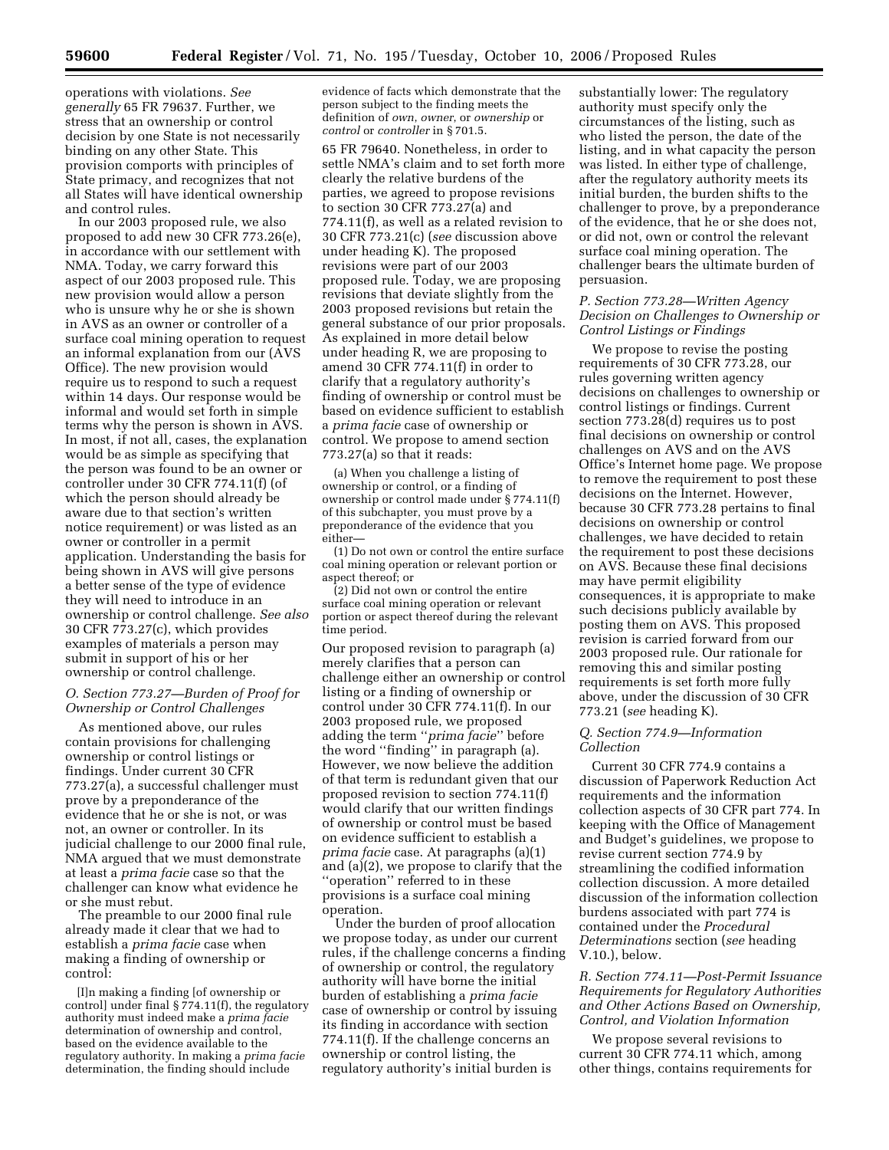operations with violations. *See generally* 65 FR 79637. Further, we stress that an ownership or control decision by one State is not necessarily binding on any other State. This provision comports with principles of State primacy, and recognizes that not all States will have identical ownership and control rules.

In our 2003 proposed rule, we also proposed to add new 30 CFR 773.26(e), in accordance with our settlement with NMA. Today, we carry forward this aspect of our 2003 proposed rule. This new provision would allow a person who is unsure why he or she is shown in AVS as an owner or controller of a surface coal mining operation to request an informal explanation from our (AVS Office). The new provision would require us to respond to such a request within 14 days. Our response would be informal and would set forth in simple terms why the person is shown in AVS. In most, if not all, cases, the explanation would be as simple as specifying that the person was found to be an owner or controller under 30 CFR 774.11(f) (of which the person should already be aware due to that section's written notice requirement) or was listed as an owner or controller in a permit application. Understanding the basis for being shown in AVS will give persons a better sense of the type of evidence they will need to introduce in an ownership or control challenge. *See also*  30 CFR 773.27(c), which provides examples of materials a person may submit in support of his or her ownership or control challenge.

# *O. Section 773.27—Burden of Proof for Ownership or Control Challenges*

As mentioned above, our rules contain provisions for challenging ownership or control listings or findings. Under current 30 CFR 773.27(a), a successful challenger must prove by a preponderance of the evidence that he or she is not, or was not, an owner or controller. In its judicial challenge to our 2000 final rule, NMA argued that we must demonstrate at least a *prima facie* case so that the challenger can know what evidence he or she must rebut.

The preamble to our 2000 final rule already made it clear that we had to establish a *prima facie* case when making a finding of ownership or control:

[I]n making a finding [of ownership or control] under final § 774.11(f), the regulatory authority must indeed make a *prima facie*  determination of ownership and control, based on the evidence available to the regulatory authority. In making a *prima facie*  determination, the finding should include

evidence of facts which demonstrate that the person subject to the finding meets the definition of *own*, *owner*, or *ownership* or *control* or *controller* in § 701.5.

65 FR 79640. Nonetheless, in order to settle NMA's claim and to set forth more clearly the relative burdens of the parties, we agreed to propose revisions to section 30 CFR 773.27(a) and 774.11(f), as well as a related revision to 30 CFR 773.21(c) (*see* discussion above under heading K). The proposed revisions were part of our 2003 proposed rule. Today, we are proposing revisions that deviate slightly from the 2003 proposed revisions but retain the general substance of our prior proposals. As explained in more detail below under heading R, we are proposing to amend 30 CFR 774.11(f) in order to clarify that a regulatory authority's finding of ownership or control must be based on evidence sufficient to establish a *prima facie* case of ownership or control. We propose to amend section 773.27(a) so that it reads:

(a) When you challenge a listing of ownership or control, or a finding of ownership or control made under § 774.11(f) of this subchapter, you must prove by a preponderance of the evidence that you either—

(1) Do not own or control the entire surface coal mining operation or relevant portion or aspect thereof; or

(2) Did not own or control the entire surface coal mining operation or relevant portion or aspect thereof during the relevant time period.

Our proposed revision to paragraph (a) merely clarifies that a person can challenge either an ownership or control listing or a finding of ownership or control under 30 CFR 774.11(f). In our 2003 proposed rule, we proposed adding the term ''*prima facie*'' before the word ''finding'' in paragraph (a). However, we now believe the addition of that term is redundant given that our proposed revision to section 774.11(f) would clarify that our written findings of ownership or control must be based on evidence sufficient to establish a *prima facie* case. At paragraphs (a)(1) and (a)(2), we propose to clarify that the ''operation'' referred to in these provisions is a surface coal mining operation.

Under the burden of proof allocation we propose today, as under our current rules, if the challenge concerns a finding of ownership or control, the regulatory authority will have borne the initial burden of establishing a *prima facie*  case of ownership or control by issuing its finding in accordance with section 774.11(f). If the challenge concerns an ownership or control listing, the regulatory authority's initial burden is

substantially lower: The regulatory authority must specify only the circumstances of the listing, such as who listed the person, the date of the listing, and in what capacity the person was listed. In either type of challenge, after the regulatory authority meets its initial burden, the burden shifts to the challenger to prove, by a preponderance of the evidence, that he or she does not, or did not, own or control the relevant surface coal mining operation. The challenger bears the ultimate burden of persuasion.

### *P. Section 773.28—Written Agency Decision on Challenges to Ownership or Control Listings or Findings*

We propose to revise the posting requirements of 30 CFR 773.28, our rules governing written agency decisions on challenges to ownership or control listings or findings. Current section 773.28(d) requires us to post final decisions on ownership or control challenges on AVS and on the AVS Office's Internet home page. We propose to remove the requirement to post these decisions on the Internet. However, because 30 CFR 773.28 pertains to final decisions on ownership or control challenges, we have decided to retain the requirement to post these decisions on AVS. Because these final decisions may have permit eligibility consequences, it is appropriate to make such decisions publicly available by posting them on AVS. This proposed revision is carried forward from our 2003 proposed rule. Our rationale for removing this and similar posting requirements is set forth more fully above, under the discussion of 30 CFR 773.21 (*see* heading K).

### *Q. Section 774.9—Information Collection*

Current 30 CFR 774.9 contains a discussion of Paperwork Reduction Act requirements and the information collection aspects of 30 CFR part 774. In keeping with the Office of Management and Budget's guidelines, we propose to revise current section 774.9 by streamlining the codified information collection discussion. A more detailed discussion of the information collection burdens associated with part 774 is contained under the *Procedural Determinations* section (*see* heading V.10.), below.

### *R. Section 774.11—Post-Permit Issuance Requirements for Regulatory Authorities and Other Actions Based on Ownership, Control, and Violation Information*

We propose several revisions to current 30 CFR 774.11 which, among other things, contains requirements for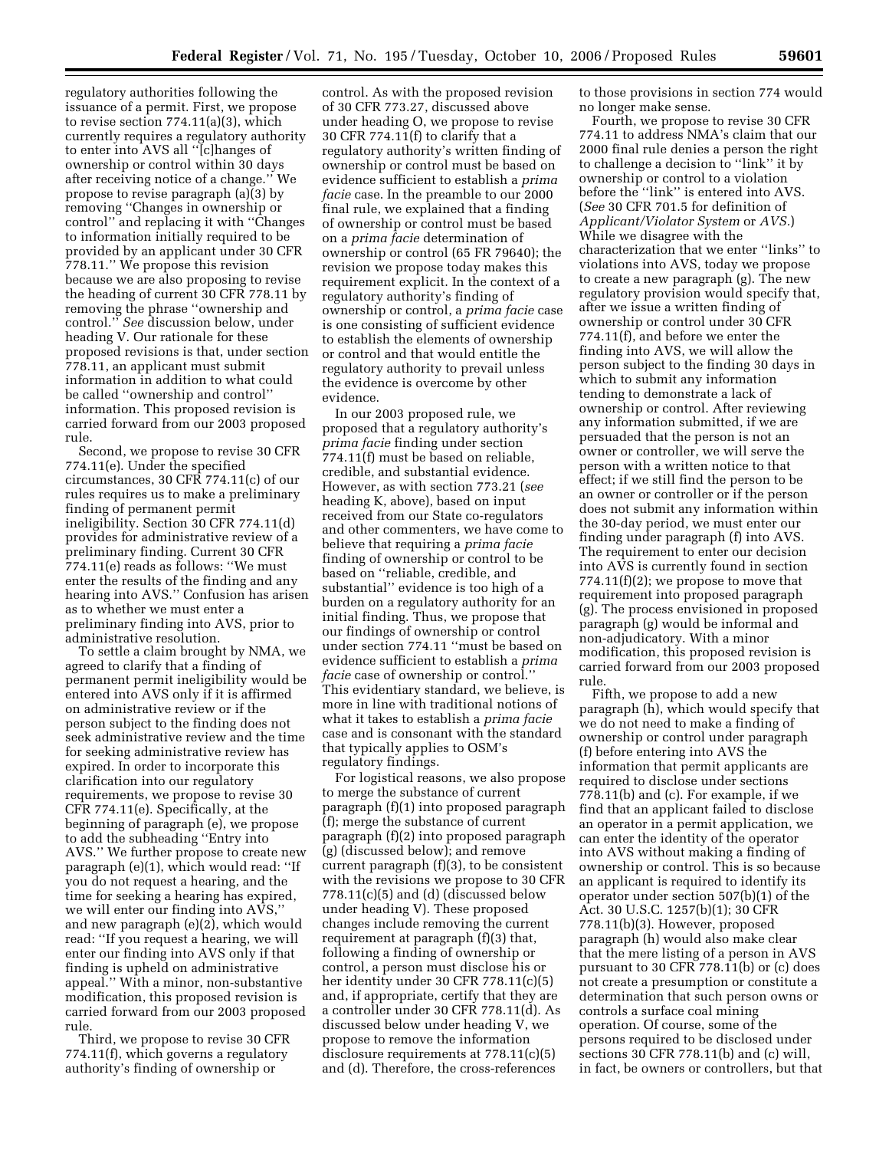regulatory authorities following the issuance of a permit. First, we propose to revise section 774.11(a)(3), which currently requires a regulatory authority to enter into AVS all ''[c]hanges of ownership or control within 30 days after receiving notice of a change.'' We propose to revise paragraph (a)(3) by removing ''Changes in ownership or control'' and replacing it with ''Changes to information initially required to be provided by an applicant under 30 CFR 778.11.'' We propose this revision because we are also proposing to revise the heading of current 30 CFR 778.11 by removing the phrase ''ownership and control.'' *See* discussion below, under heading V. Our rationale for these proposed revisions is that, under section 778.11, an applicant must submit information in addition to what could be called ''ownership and control'' information. This proposed revision is carried forward from our 2003 proposed rule.

Second, we propose to revise 30 CFR 774.11(e). Under the specified circumstances, 30 CFR 774.11(c) of our rules requires us to make a preliminary finding of permanent permit ineligibility. Section 30 CFR 774.11(d) provides for administrative review of a preliminary finding. Current 30 CFR 774.11(e) reads as follows: ''We must enter the results of the finding and any hearing into AVS.'' Confusion has arisen as to whether we must enter a preliminary finding into AVS, prior to administrative resolution.

To settle a claim brought by NMA, we agreed to clarify that a finding of permanent permit ineligibility would be entered into AVS only if it is affirmed on administrative review or if the person subject to the finding does not seek administrative review and the time for seeking administrative review has expired. In order to incorporate this clarification into our regulatory requirements, we propose to revise 30 CFR 774.11(e). Specifically, at the beginning of paragraph (e), we propose to add the subheading ''Entry into AVS.'' We further propose to create new paragraph (e)(1), which would read: ''If you do not request a hearing, and the time for seeking a hearing has expired, we will enter our finding into AVS,'' and new paragraph (e)(2), which would read: ''If you request a hearing, we will enter our finding into AVS only if that finding is upheld on administrative appeal.'' With a minor, non-substantive modification, this proposed revision is carried forward from our 2003 proposed rule.

Third, we propose to revise 30 CFR 774.11(f), which governs a regulatory authority's finding of ownership or

control. As with the proposed revision of 30 CFR 773.27, discussed above under heading O, we propose to revise 30 CFR 774.11(f) to clarify that a regulatory authority's written finding of ownership or control must be based on evidence sufficient to establish a *prima facie* case. In the preamble to our 2000 final rule, we explained that a finding of ownership or control must be based on a *prima facie* determination of ownership or control (65 FR 79640); the revision we propose today makes this requirement explicit. In the context of a regulatory authority's finding of ownership or control, a *prima facie* case is one consisting of sufficient evidence to establish the elements of ownership or control and that would entitle the regulatory authority to prevail unless the evidence is overcome by other evidence.

In our 2003 proposed rule, we proposed that a regulatory authority's *prima facie* finding under section 774.11(f) must be based on reliable, credible, and substantial evidence. However, as with section 773.21 (*see*  heading K, above), based on input received from our State co-regulators and other commenters, we have come to believe that requiring a *prima facie*  finding of ownership or control to be based on ''reliable, credible, and substantial'' evidence is too high of a burden on a regulatory authority for an initial finding. Thus, we propose that our findings of ownership or control under section 774.11 ''must be based on evidence sufficient to establish a *prima facie* case of ownership or control.'' This evidentiary standard, we believe, is more in line with traditional notions of what it takes to establish a *prima facie*  case and is consonant with the standard that typically applies to OSM's regulatory findings.

For logistical reasons, we also propose to merge the substance of current paragraph (f)(1) into proposed paragraph (f); merge the substance of current paragraph (f)(2) into proposed paragraph (g) (discussed below); and remove current paragraph (f)(3), to be consistent with the revisions we propose to 30 CFR 778.11(c)(5) and (d) (discussed below under heading V). These proposed changes include removing the current requirement at paragraph (f)(3) that, following a finding of ownership or control, a person must disclose his or her identity under 30 CFR 778.11(c)(5) and, if appropriate, certify that they are a controller under 30 CFR 778.11(d). As discussed below under heading V, we propose to remove the information disclosure requirements at 778.11(c)(5) and (d). Therefore, the cross-references

to those provisions in section 774 would no longer make sense.

Fourth, we propose to revise 30 CFR 774.11 to address NMA's claim that our 2000 final rule denies a person the right to challenge a decision to ''link'' it by ownership or control to a violation before the ''link'' is entered into AVS. (*See* 30 CFR 701.5 for definition of *Applicant/Violator System* or *AVS.*) While we disagree with the characterization that we enter ''links'' to violations into AVS, today we propose to create a new paragraph (g). The new regulatory provision would specify that, after we issue a written finding of ownership or control under 30 CFR 774.11(f), and before we enter the finding into AVS, we will allow the person subject to the finding 30 days in which to submit any information tending to demonstrate a lack of ownership or control. After reviewing any information submitted, if we are persuaded that the person is not an owner or controller, we will serve the person with a written notice to that effect; if we still find the person to be an owner or controller or if the person does not submit any information within the 30-day period, we must enter our finding under paragraph (f) into AVS. The requirement to enter our decision into AVS is currently found in section 774.11 $(f)(2)$ ; we propose to move that requirement into proposed paragraph (g). The process envisioned in proposed paragraph (g) would be informal and non-adjudicatory. With a minor modification, this proposed revision is carried forward from our 2003 proposed rule.

Fifth, we propose to add a new paragraph (h), which would specify that we do not need to make a finding of ownership or control under paragraph (f) before entering into AVS the information that permit applicants are required to disclose under sections 778.11(b) and (c). For example, if we find that an applicant failed to disclose an operator in a permit application, we can enter the identity of the operator into AVS without making a finding of ownership or control. This is so because an applicant is required to identify its operator under section 507(b)(1) of the Act. 30 U.S.C. 1257(b)(1); 30 CFR 778.11(b)(3). However, proposed paragraph (h) would also make clear that the mere listing of a person in AVS pursuant to 30 CFR 778.11(b) or (c) does not create a presumption or constitute a determination that such person owns or controls a surface coal mining operation. Of course, some of the persons required to be disclosed under sections 30 CFR 778.11(b) and (c) will, in fact, be owners or controllers, but that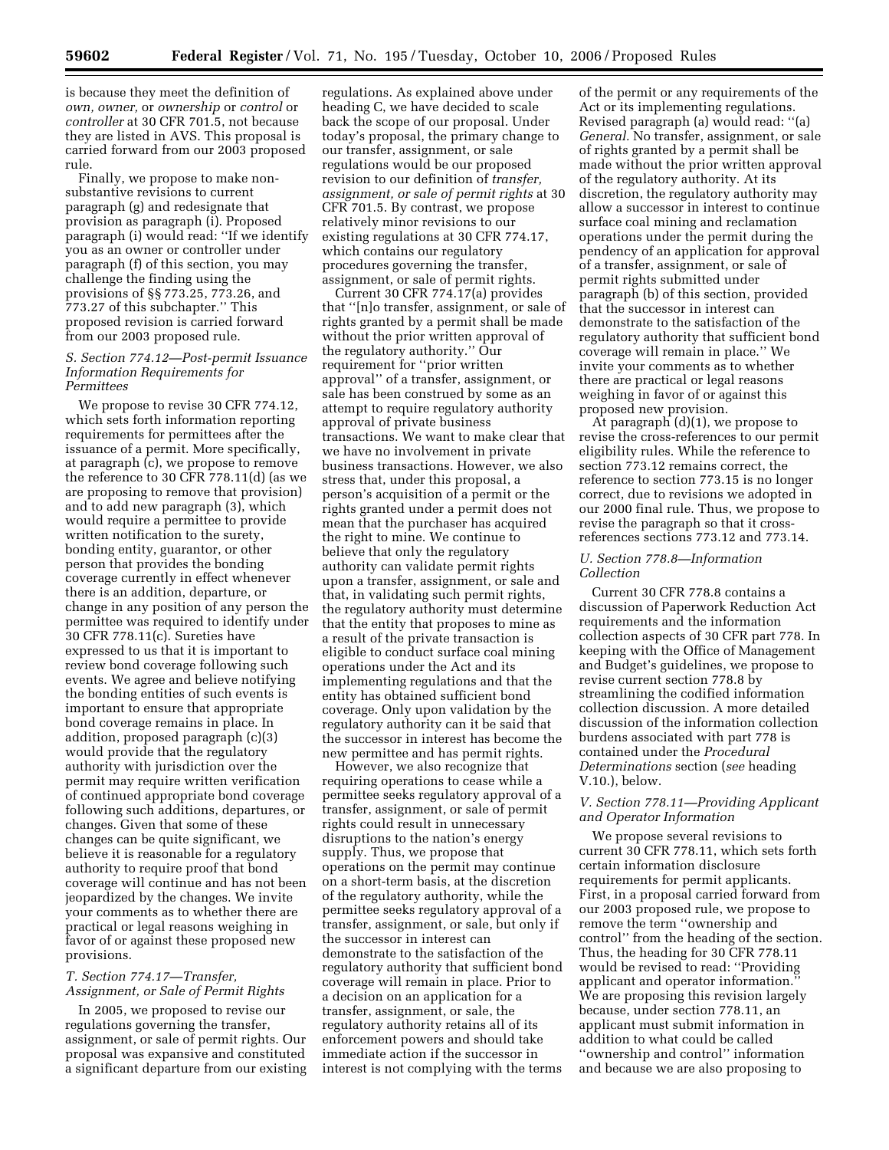is because they meet the definition of *own, owner,* or *ownership* or *control* or *controller* at 30 CFR 701.5, not because they are listed in AVS. This proposal is carried forward from our 2003 proposed rule.

Finally, we propose to make nonsubstantive revisions to current paragraph (g) and redesignate that provision as paragraph (i). Proposed paragraph (i) would read: ''If we identify you as an owner or controller under paragraph (f) of this section, you may challenge the finding using the provisions of §§ 773.25, 773.26, and 773.27 of this subchapter.'' This proposed revision is carried forward from our 2003 proposed rule.

#### *S. Section 774.12—Post-permit Issuance Information Requirements for Permittees*

We propose to revise 30 CFR 774.12, which sets forth information reporting requirements for permittees after the issuance of a permit. More specifically, at paragraph (c), we propose to remove the reference to 30 CFR 778.11(d) (as we are proposing to remove that provision) and to add new paragraph (3), which would require a permittee to provide written notification to the surety, bonding entity, guarantor, or other person that provides the bonding coverage currently in effect whenever there is an addition, departure, or change in any position of any person the permittee was required to identify under 30 CFR 778.11(c). Sureties have expressed to us that it is important to review bond coverage following such events. We agree and believe notifying the bonding entities of such events is important to ensure that appropriate bond coverage remains in place. In addition, proposed paragraph (c)(3) would provide that the regulatory authority with jurisdiction over the permit may require written verification of continued appropriate bond coverage following such additions, departures, or changes. Given that some of these changes can be quite significant, we believe it is reasonable for a regulatory authority to require proof that bond coverage will continue and has not been jeopardized by the changes. We invite your comments as to whether there are practical or legal reasons weighing in favor of or against these proposed new provisions.

### *T. Section 774.17—Transfer, Assignment, or Sale of Permit Rights*

In 2005, we proposed to revise our regulations governing the transfer, assignment, or sale of permit rights. Our proposal was expansive and constituted a significant departure from our existing

regulations. As explained above under heading C, we have decided to scale back the scope of our proposal. Under today's proposal, the primary change to our transfer, assignment, or sale regulations would be our proposed revision to our definition of *transfer, assignment, or sale of permit rights* at 30 CFR 701.5. By contrast, we propose relatively minor revisions to our existing regulations at 30 CFR 774.17, which contains our regulatory procedures governing the transfer, assignment, or sale of permit rights.

Current 30 CFR 774.17(a) provides that ''[n]o transfer, assignment, or sale of rights granted by a permit shall be made without the prior written approval of the regulatory authority.'' Our requirement for ''prior written approval'' of a transfer, assignment, or sale has been construed by some as an attempt to require regulatory authority approval of private business transactions. We want to make clear that we have no involvement in private business transactions. However, we also stress that, under this proposal, a person's acquisition of a permit or the rights granted under a permit does not mean that the purchaser has acquired the right to mine. We continue to believe that only the regulatory authority can validate permit rights upon a transfer, assignment, or sale and that, in validating such permit rights, the regulatory authority must determine that the entity that proposes to mine as a result of the private transaction is eligible to conduct surface coal mining operations under the Act and its implementing regulations and that the entity has obtained sufficient bond coverage. Only upon validation by the regulatory authority can it be said that the successor in interest has become the new permittee and has permit rights.

However, we also recognize that requiring operations to cease while a permittee seeks regulatory approval of a transfer, assignment, or sale of permit rights could result in unnecessary disruptions to the nation's energy supply. Thus, we propose that operations on the permit may continue on a short-term basis, at the discretion of the regulatory authority, while the permittee seeks regulatory approval of a transfer, assignment, or sale, but only if the successor in interest can demonstrate to the satisfaction of the regulatory authority that sufficient bond coverage will remain in place. Prior to a decision on an application for a transfer, assignment, or sale, the regulatory authority retains all of its enforcement powers and should take immediate action if the successor in interest is not complying with the terms

of the permit or any requirements of the Act or its implementing regulations. Revised paragraph (a) would read: ''(a) *General.* No transfer, assignment, or sale of rights granted by a permit shall be made without the prior written approval of the regulatory authority. At its discretion, the regulatory authority may allow a successor in interest to continue surface coal mining and reclamation operations under the permit during the pendency of an application for approval of a transfer, assignment, or sale of permit rights submitted under paragraph (b) of this section, provided that the successor in interest can demonstrate to the satisfaction of the regulatory authority that sufficient bond coverage will remain in place.'' We invite your comments as to whether there are practical or legal reasons weighing in favor of or against this proposed new provision.

At paragraph (d)(1), we propose to revise the cross-references to our permit eligibility rules. While the reference to section 773.12 remains correct, the reference to section 773.15 is no longer correct, due to revisions we adopted in our 2000 final rule. Thus, we propose to revise the paragraph so that it crossreferences sections 773.12 and 773.14.

### *U. Section 778.8—Information Collection*

Current 30 CFR 778.8 contains a discussion of Paperwork Reduction Act requirements and the information collection aspects of 30 CFR part 778. In keeping with the Office of Management and Budget's guidelines, we propose to revise current section 778.8 by streamlining the codified information collection discussion. A more detailed discussion of the information collection burdens associated with part 778 is contained under the *Procedural Determinations* section (*see* heading V.10.), below.

### *V. Section 778.11—Providing Applicant and Operator Information*

We propose several revisions to current 30 CFR 778.11, which sets forth certain information disclosure requirements for permit applicants. First, in a proposal carried forward from our 2003 proposed rule, we propose to remove the term ''ownership and control'' from the heading of the section. Thus, the heading for 30 CFR 778.11 would be revised to read: ''Providing applicant and operator information. We are proposing this revision largely because, under section 778.11, an applicant must submit information in addition to what could be called ''ownership and control'' information and because we are also proposing to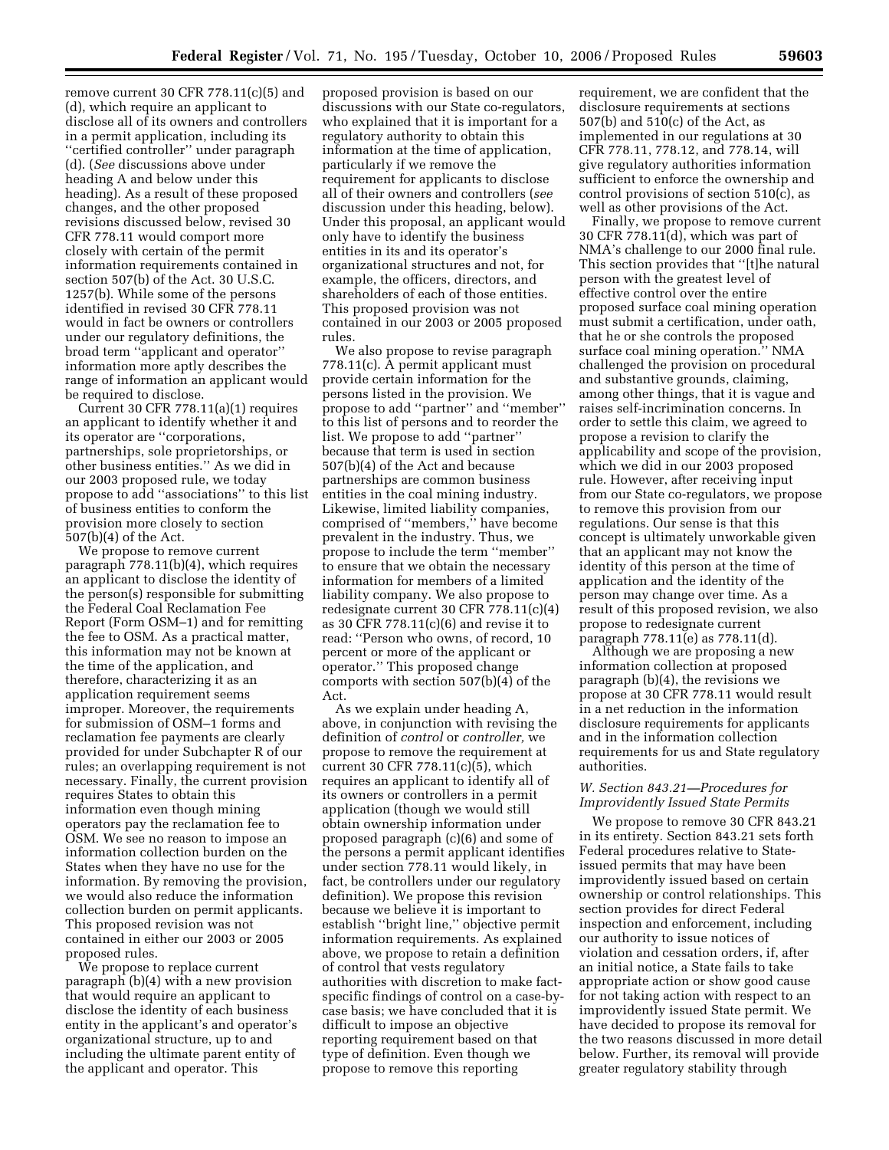remove current 30 CFR  $778.11(c)(5)$  and (d), which require an applicant to disclose all of its owners and controllers in a permit application, including its ''certified controller'' under paragraph (d). (*See* discussions above under heading A and below under this heading). As a result of these proposed changes, and the other proposed revisions discussed below, revised 30 CFR 778.11 would comport more closely with certain of the permit information requirements contained in section 507(b) of the Act. 30 U.S.C. 1257(b). While some of the persons identified in revised 30 CFR 778.11 would in fact be owners or controllers under our regulatory definitions, the broad term ''applicant and operator'' information more aptly describes the range of information an applicant would be required to disclose.

Current 30 CFR 778.11(a)(1) requires an applicant to identify whether it and its operator are ''corporations, partnerships, sole proprietorships, or other business entities.'' As we did in our 2003 proposed rule, we today propose to add ''associations'' to this list of business entities to conform the provision more closely to section 507(b)(4) of the Act.

We propose to remove current paragraph 778.11(b)(4), which requires an applicant to disclose the identity of the person(s) responsible for submitting the Federal Coal Reclamation Fee Report (Form OSM–1) and for remitting the fee to OSM. As a practical matter, this information may not be known at the time of the application, and therefore, characterizing it as an application requirement seems improper. Moreover, the requirements for submission of OSM–1 forms and reclamation fee payments are clearly provided for under Subchapter R of our rules; an overlapping requirement is not necessary. Finally, the current provision requires States to obtain this information even though mining operators pay the reclamation fee to OSM. We see no reason to impose an information collection burden on the States when they have no use for the information. By removing the provision, we would also reduce the information collection burden on permit applicants. This proposed revision was not contained in either our 2003 or 2005 proposed rules.

We propose to replace current paragraph (b)(4) with a new provision that would require an applicant to disclose the identity of each business entity in the applicant's and operator's organizational structure, up to and including the ultimate parent entity of the applicant and operator. This

proposed provision is based on our discussions with our State co-regulators, who explained that it is important for a regulatory authority to obtain this information at the time of application, particularly if we remove the requirement for applicants to disclose all of their owners and controllers (*see*  discussion under this heading, below). Under this proposal, an applicant would only have to identify the business entities in its and its operator's organizational structures and not, for example, the officers, directors, and shareholders of each of those entities. This proposed provision was not contained in our 2003 or 2005 proposed rules.

We also propose to revise paragraph 778.11(c). A permit applicant must provide certain information for the persons listed in the provision. We propose to add ''partner'' and ''member'' to this list of persons and to reorder the list. We propose to add ''partner'' because that term is used in section 507(b)(4) of the Act and because partnerships are common business entities in the coal mining industry. Likewise, limited liability companies, comprised of ''members,'' have become prevalent in the industry. Thus, we propose to include the term ''member'' to ensure that we obtain the necessary information for members of a limited liability company. We also propose to redesignate current 30 CFR 778.11(c)(4) as 30 CFR 778.11(c)(6) and revise it to read: ''Person who owns, of record, 10 percent or more of the applicant or operator.'' This proposed change comports with section 507(b)(4) of the Act.

As we explain under heading A, above, in conjunction with revising the definition of *control* or *controller,* we propose to remove the requirement at current 30 CFR 778.11(c)(5), which requires an applicant to identify all of its owners or controllers in a permit application (though we would still obtain ownership information under proposed paragraph (c)(6) and some of the persons a permit applicant identifies under section 778.11 would likely, in fact, be controllers under our regulatory definition). We propose this revision because we believe it is important to establish ''bright line,'' objective permit information requirements. As explained above, we propose to retain a definition of control that vests regulatory authorities with discretion to make factspecific findings of control on a case-bycase basis; we have concluded that it is difficult to impose an objective reporting requirement based on that type of definition. Even though we propose to remove this reporting

requirement, we are confident that the disclosure requirements at sections 507(b) and 510(c) of the Act, as implemented in our regulations at 30 CFR 778.11, 778.12, and 778.14, will give regulatory authorities information sufficient to enforce the ownership and control provisions of section 510(c), as well as other provisions of the Act.

Finally, we propose to remove current 30 CFR 778.11(d), which was part of NMA's challenge to our 2000 final rule. This section provides that ''[t]he natural person with the greatest level of effective control over the entire proposed surface coal mining operation must submit a certification, under oath, that he or she controls the proposed surface coal mining operation.'' NMA challenged the provision on procedural and substantive grounds, claiming, among other things, that it is vague and raises self-incrimination concerns. In order to settle this claim, we agreed to propose a revision to clarify the applicability and scope of the provision, which we did in our 2003 proposed rule. However, after receiving input from our State co-regulators, we propose to remove this provision from our regulations. Our sense is that this concept is ultimately unworkable given that an applicant may not know the identity of this person at the time of application and the identity of the person may change over time. As a result of this proposed revision, we also propose to redesignate current paragraph 778.11(e) as 778.11(d).

Although we are proposing a new information collection at proposed paragraph (b)(4), the revisions we propose at 30 CFR 778.11 would result in a net reduction in the information disclosure requirements for applicants and in the information collection requirements for us and State regulatory authorities.

### *W. Section 843.21—Procedures for Improvidently Issued State Permits*

We propose to remove 30 CFR 843.21 in its entirety. Section 843.21 sets forth Federal procedures relative to Stateissued permits that may have been improvidently issued based on certain ownership or control relationships. This section provides for direct Federal inspection and enforcement, including our authority to issue notices of violation and cessation orders, if, after an initial notice, a State fails to take appropriate action or show good cause for not taking action with respect to an improvidently issued State permit. We have decided to propose its removal for the two reasons discussed in more detail below. Further, its removal will provide greater regulatory stability through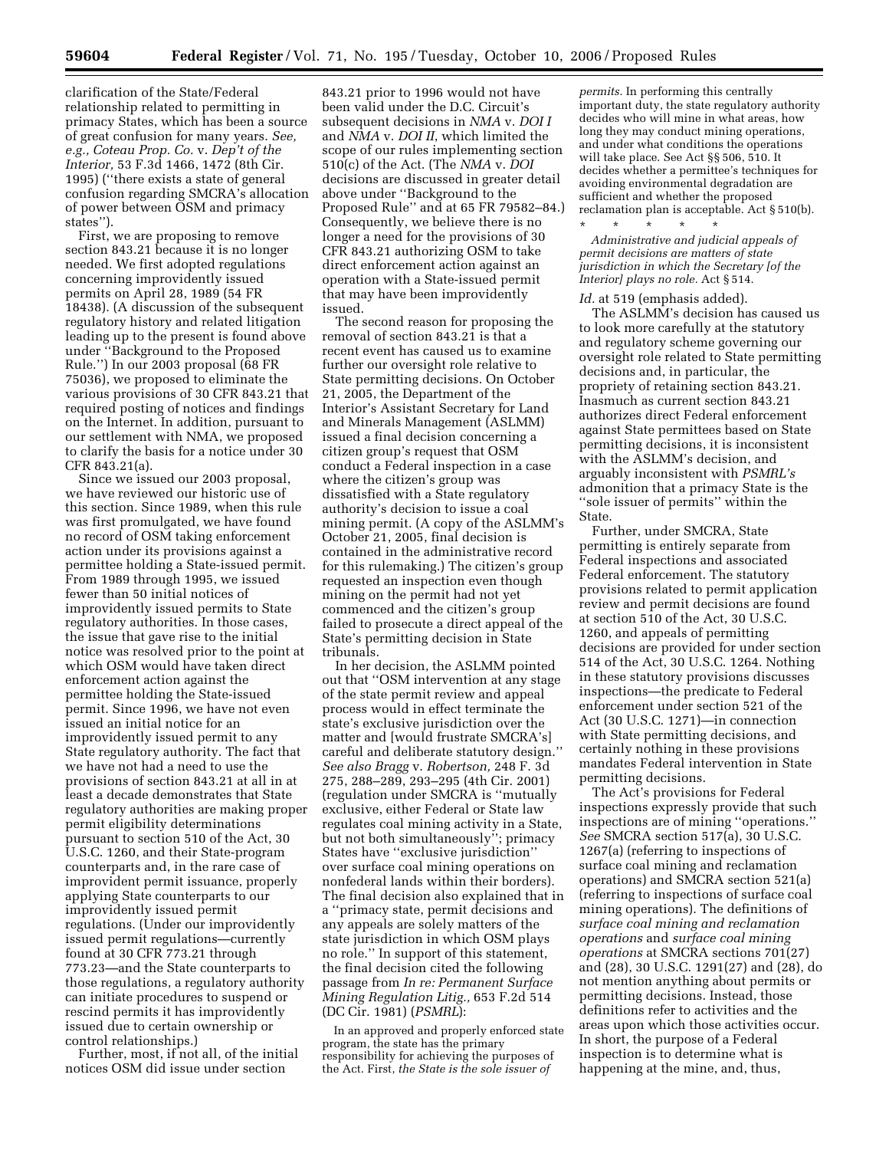clarification of the State/Federal relationship related to permitting in primacy States, which has been a source of great confusion for many years. *See, e.g., Coteau Prop. Co.* v. *Dep't of the Interior,* 53 F.3d 1466, 1472 (8th Cir. 1995) (''there exists a state of general confusion regarding SMCRA's allocation of power between OSM and primacy states'').

First, we are proposing to remove section 843.21 because it is no longer needed. We first adopted regulations concerning improvidently issued permits on April 28, 1989 (54 FR 18438). (A discussion of the subsequent regulatory history and related litigation leading up to the present is found above under ''Background to the Proposed Rule.'') In our 2003 proposal (68 FR 75036), we proposed to eliminate the various provisions of 30 CFR 843.21 that required posting of notices and findings on the Internet. In addition, pursuant to our settlement with NMA, we proposed to clarify the basis for a notice under 30 CFR 843.21(a).

Since we issued our 2003 proposal, we have reviewed our historic use of this section. Since 1989, when this rule was first promulgated, we have found no record of OSM taking enforcement action under its provisions against a permittee holding a State-issued permit. From 1989 through 1995, we issued fewer than 50 initial notices of improvidently issued permits to State regulatory authorities. In those cases, the issue that gave rise to the initial notice was resolved prior to the point at which OSM would have taken direct enforcement action against the permittee holding the State-issued permit. Since 1996, we have not even issued an initial notice for an improvidently issued permit to any State regulatory authority. The fact that we have not had a need to use the provisions of section 843.21 at all in at least a decade demonstrates that State regulatory authorities are making proper permit eligibility determinations pursuant to section 510 of the Act, 30 U.S.C. 1260, and their State-program counterparts and, in the rare case of improvident permit issuance, properly applying State counterparts to our improvidently issued permit regulations. (Under our improvidently issued permit regulations—currently found at 30 CFR 773.21 through 773.23—and the State counterparts to those regulations, a regulatory authority can initiate procedures to suspend or rescind permits it has improvidently issued due to certain ownership or control relationships.)

Further, most, if not all, of the initial notices OSM did issue under section

843.21 prior to 1996 would not have been valid under the D.C. Circuit's subsequent decisions in *NMA* v. *DOI I*  and *NMA* v. *DOI II*, which limited the scope of our rules implementing section 510(c) of the Act. (The *NMA* v. *DOI*  decisions are discussed in greater detail above under ''Background to the Proposed Rule'' and at 65 FR 79582–84.) Consequently, we believe there is no longer a need for the provisions of 30 CFR 843.21 authorizing OSM to take direct enforcement action against an operation with a State-issued permit that may have been improvidently issued.

The second reason for proposing the removal of section 843.21 is that a recent event has caused us to examine further our oversight role relative to State permitting decisions. On October 21, 2005, the Department of the Interior's Assistant Secretary for Land and Minerals Management (ASLMM) issued a final decision concerning a citizen group's request that OSM conduct a Federal inspection in a case where the citizen's group was dissatisfied with a State regulatory authority's decision to issue a coal mining permit. (A copy of the ASLMM's October 21, 2005, final decision is contained in the administrative record for this rulemaking.) The citizen's group requested an inspection even though mining on the permit had not yet commenced and the citizen's group failed to prosecute a direct appeal of the State's permitting decision in State tribunals.

In her decision, the ASLMM pointed out that ''OSM intervention at any stage of the state permit review and appeal process would in effect terminate the state's exclusive jurisdiction over the matter and [would frustrate SMCRA's] careful and deliberate statutory design.'' *See also Bragg* v. *Robertson,* 248 F. 3d 275, 288–289, 293–295 (4th Cir. 2001) (regulation under SMCRA is ''mutually exclusive, either Federal or State law regulates coal mining activity in a State, but not both simultaneously''; primacy States have ''exclusive jurisdiction'' over surface coal mining operations on nonfederal lands within their borders). The final decision also explained that in a ''primacy state, permit decisions and any appeals are solely matters of the state jurisdiction in which OSM plays no role.'' In support of this statement, the final decision cited the following passage from *In re: Permanent Surface Mining Regulation Litig.,* 653 F.2d 514 (DC Cir. 1981) (*PSMRL*):

In an approved and properly enforced state program, the state has the primary responsibility for achieving the purposes of the Act. First, *the State is the sole issuer of* 

*permits.* In performing this centrally important duty, the state regulatory authority decides who will mine in what areas, how long they may conduct mining operations, and under what conditions the operations will take place. See Act §§ 506, 510. It decides whether a permittee's techniques for avoiding environmental degradation are sufficient and whether the proposed reclamation plan is acceptable. Act § 510(b).

\* \* \* \* \* *Administrative and judicial appeals of permit decisions are matters of state jurisdiction in which the Secretary [of the Interior] plays no role.* Act § 514.

#### *Id.* at 519 (emphasis added).

The ASLMM's decision has caused us to look more carefully at the statutory and regulatory scheme governing our oversight role related to State permitting decisions and, in particular, the propriety of retaining section 843.21. Inasmuch as current section 843.21 authorizes direct Federal enforcement against State permittees based on State permitting decisions, it is inconsistent with the ASLMM's decision, and arguably inconsistent with *PSMRL's*  admonition that a primacy State is the ''sole issuer of permits'' within the State.

Further, under SMCRA, State permitting is entirely separate from Federal inspections and associated Federal enforcement. The statutory provisions related to permit application review and permit decisions are found at section 510 of the Act, 30 U.S.C. 1260, and appeals of permitting decisions are provided for under section 514 of the Act, 30 U.S.C. 1264. Nothing in these statutory provisions discusses inspections—the predicate to Federal enforcement under section 521 of the Act (30 U.S.C. 1271)—in connection with State permitting decisions, and certainly nothing in these provisions mandates Federal intervention in State permitting decisions.

The Act's provisions for Federal inspections expressly provide that such inspections are of mining ''operations.'' *See* SMCRA section 517(a), 30 U.S.C. 1267(a) (referring to inspections of surface coal mining and reclamation operations) and SMCRA section 521(a) (referring to inspections of surface coal mining operations). The definitions of *surface coal mining and reclamation operations* and *surface coal mining operations* at SMCRA sections 701(27) and (28), 30 U.S.C. 1291(27) and (28), do not mention anything about permits or permitting decisions. Instead, those definitions refer to activities and the areas upon which those activities occur. In short, the purpose of a Federal inspection is to determine what is happening at the mine, and, thus,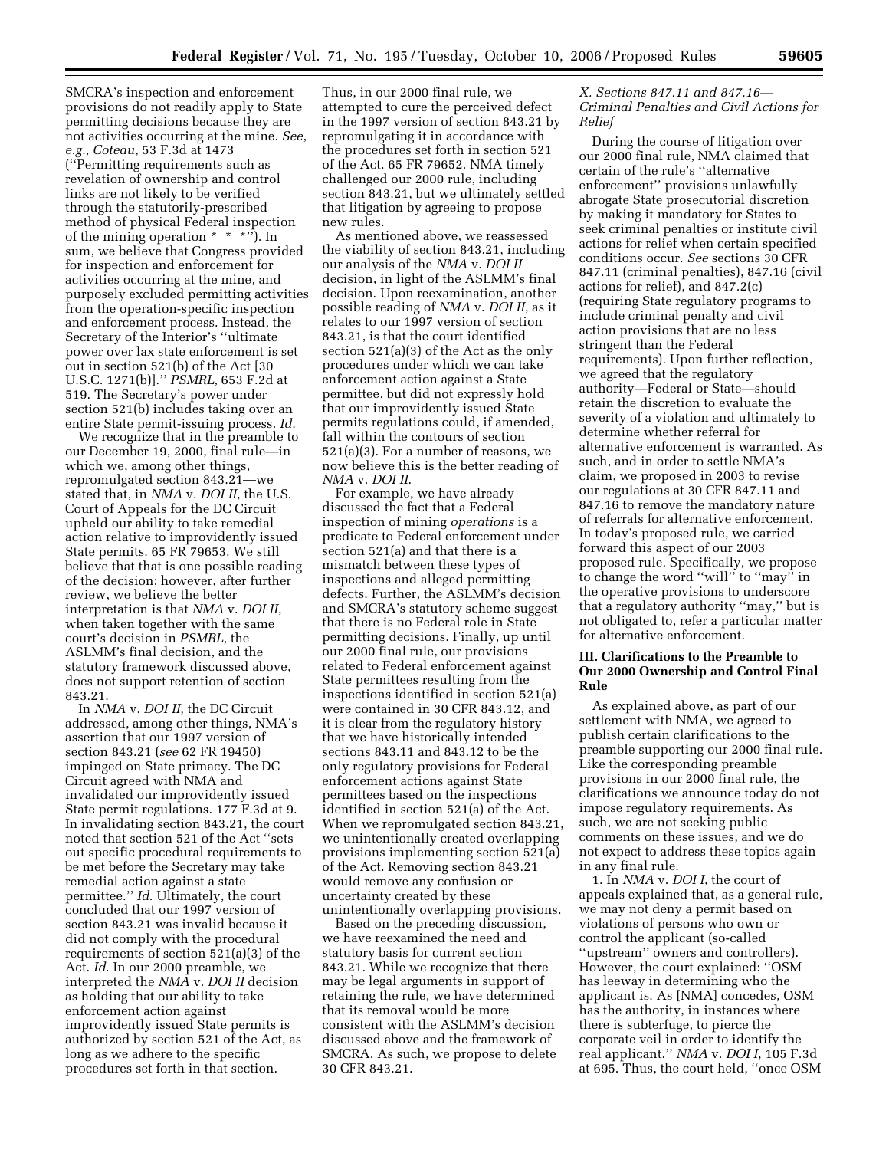SMCRA's inspection and enforcement provisions do not readily apply to State permitting decisions because they are not activities occurring at the mine. *See*, *e.g.*, *Coteau*, 53 F.3d at 1473 (''Permitting requirements such as revelation of ownership and control links are not likely to be verified through the statutorily-prescribed method of physical Federal inspection of the mining operation  $* * * * \dots$ . In sum, we believe that Congress provided for inspection and enforcement for activities occurring at the mine, and purposely excluded permitting activities from the operation-specific inspection and enforcement process. Instead, the Secretary of the Interior's ''ultimate power over lax state enforcement is set out in section 521(b) of the Act [30 U.S.C. 1271(b)].'' *PSMRL*, 653 F.2d at 519. The Secretary's power under section 521(b) includes taking over an entire State permit-issuing process. *Id*.

We recognize that in the preamble to our December 19, 2000, final rule—in which we, among other things, repromulgated section 843.21—we stated that, in *NMA* v. *DOI II*, the U.S. Court of Appeals for the DC Circuit upheld our ability to take remedial action relative to improvidently issued State permits. 65 FR 79653. We still believe that that is one possible reading of the decision; however, after further review, we believe the better interpretation is that *NMA* v. *DOI II*, when taken together with the same court's decision in *PSMRL*, the ASLMM's final decision, and the statutory framework discussed above, does not support retention of section 843.21.

In *NMA* v. *DOI II*, the DC Circuit addressed, among other things, NMA's assertion that our 1997 version of section 843.21 (*see* 62 FR 19450) impinged on State primacy. The DC Circuit agreed with NMA and invalidated our improvidently issued State permit regulations. 177 F.3d at 9. In invalidating section 843.21, the court noted that section 521 of the Act ''sets out specific procedural requirements to be met before the Secretary may take remedial action against a state permittee.'' *Id*. Ultimately, the court concluded that our 1997 version of section 843.21 was invalid because it did not comply with the procedural requirements of section 521(a)(3) of the Act. *Id*. In our 2000 preamble, we interpreted the *NMA* v. *DOI II* decision as holding that our ability to take enforcement action against improvidently issued State permits is authorized by section 521 of the Act, as long as we adhere to the specific procedures set forth in that section.

Thus, in our 2000 final rule, we attempted to cure the perceived defect in the 1997 version of section 843.21 by repromulgating it in accordance with the procedures set forth in section 521 of the Act. 65 FR 79652. NMA timely challenged our 2000 rule, including section 843.21, but we ultimately settled that litigation by agreeing to propose new rules.

As mentioned above, we reassessed the viability of section 843.21, including our analysis of the *NMA* v. *DOI II*  decision, in light of the ASLMM's final decision. Upon reexamination, another possible reading of *NMA* v. *DOI II*, as it relates to our 1997 version of section 843.21, is that the court identified section 521(a)(3) of the Act as the only procedures under which we can take enforcement action against a State permittee, but did not expressly hold that our improvidently issued State permits regulations could, if amended, fall within the contours of section 521(a)(3). For a number of reasons, we now believe this is the better reading of *NMA* v. *DOI II*.

For example, we have already discussed the fact that a Federal inspection of mining *operations* is a predicate to Federal enforcement under section 521(a) and that there is a mismatch between these types of inspections and alleged permitting defects. Further, the ASLMM's decision and SMCRA's statutory scheme suggest that there is no Federal role in State permitting decisions. Finally, up until our 2000 final rule, our provisions related to Federal enforcement against State permittees resulting from the inspections identified in section 521(a) were contained in 30 CFR 843.12, and it is clear from the regulatory history that we have historically intended sections 843.11 and 843.12 to be the only regulatory provisions for Federal enforcement actions against State permittees based on the inspections identified in section 521(a) of the Act. When we repromulgated section 843.21, we unintentionally created overlapping provisions implementing section 521(a) of the Act. Removing section 843.21 would remove any confusion or uncertainty created by these unintentionally overlapping provisions.

Based on the preceding discussion, we have reexamined the need and statutory basis for current section 843.21. While we recognize that there may be legal arguments in support of retaining the rule, we have determined that its removal would be more consistent with the ASLMM's decision discussed above and the framework of SMCRA. As such, we propose to delete 30 CFR 843.21.

### *X. Sections 847.11 and 847.16— Criminal Penalties and Civil Actions for Relief*

During the course of litigation over our 2000 final rule, NMA claimed that certain of the rule's ''alternative enforcement'' provisions unlawfully abrogate State prosecutorial discretion by making it mandatory for States to seek criminal penalties or institute civil actions for relief when certain specified conditions occur. *See* sections 30 CFR 847.11 (criminal penalties), 847.16 (civil actions for relief), and 847.2(c) (requiring State regulatory programs to include criminal penalty and civil action provisions that are no less stringent than the Federal requirements). Upon further reflection, we agreed that the regulatory authority—Federal or State—should retain the discretion to evaluate the severity of a violation and ultimately to determine whether referral for alternative enforcement is warranted. As such, and in order to settle NMA's claim, we proposed in 2003 to revise our regulations at 30 CFR 847.11 and 847.16 to remove the mandatory nature of referrals for alternative enforcement. In today's proposed rule, we carried forward this aspect of our 2003 proposed rule. Specifically, we propose to change the word ''will'' to ''may'' in the operative provisions to underscore that a regulatory authority ''may,'' but is not obligated to, refer a particular matter for alternative enforcement.

### **III. Clarifications to the Preamble to Our 2000 Ownership and Control Final Rule**

As explained above, as part of our settlement with NMA, we agreed to publish certain clarifications to the preamble supporting our 2000 final rule. Like the corresponding preamble provisions in our 2000 final rule, the clarifications we announce today do not impose regulatory requirements. As such, we are not seeking public comments on these issues, and we do not expect to address these topics again in any final rule.

1. In *NMA* v. *DOI I*, the court of appeals explained that, as a general rule, we may not deny a permit based on violations of persons who own or control the applicant (so-called ''upstream'' owners and controllers). However, the court explained: ''OSM has leeway in determining who the applicant is. As [NMA] concedes, OSM has the authority, in instances where there is subterfuge, to pierce the corporate veil in order to identify the real applicant.'' *NMA* v. *DOI I*, 105 F.3d at 695. Thus, the court held, ''once OSM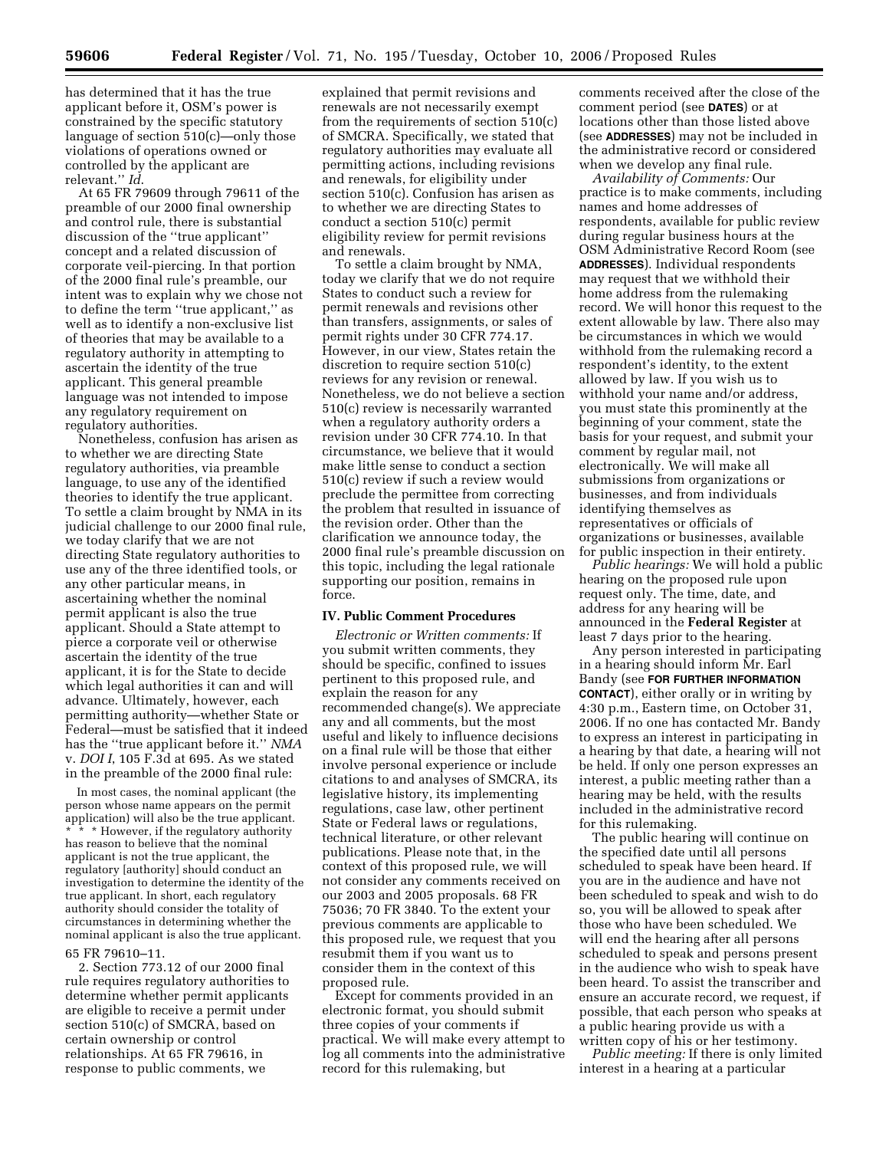has determined that it has the true applicant before it, OSM's power is constrained by the specific statutory language of section 510(c)—only those violations of operations owned or controlled by the applicant are relevant.'' *Id*.

At 65 FR 79609 through 79611 of the preamble of our 2000 final ownership and control rule, there is substantial discussion of the ''true applicant'' concept and a related discussion of corporate veil-piercing. In that portion of the 2000 final rule's preamble, our intent was to explain why we chose not to define the term ''true applicant,'' as well as to identify a non-exclusive list of theories that may be available to a regulatory authority in attempting to ascertain the identity of the true applicant. This general preamble language was not intended to impose any regulatory requirement on regulatory authorities.

Nonetheless, confusion has arisen as to whether we are directing State regulatory authorities, via preamble language, to use any of the identified theories to identify the true applicant. To settle a claim brought by NMA in its judicial challenge to our 2000 final rule, we today clarify that we are not directing State regulatory authorities to use any of the three identified tools, or any other particular means, in ascertaining whether the nominal permit applicant is also the true applicant. Should a State attempt to pierce a corporate veil or otherwise ascertain the identity of the true applicant, it is for the State to decide which legal authorities it can and will advance. Ultimately, however, each permitting authority—whether State or Federal—must be satisfied that it indeed has the ''true applicant before it.'' *NMA*  v. *DOI I*, 105 F.3d at 695. As we stated in the preamble of the 2000 final rule:

In most cases, the nominal applicant (the person whose name appears on the permit application) will also be the true applicant. \* \* However, if the regulatory authority has reason to believe that the nominal applicant is not the true applicant, the regulatory [authority] should conduct an investigation to determine the identity of the true applicant. In short, each regulatory authority should consider the totality of circumstances in determining whether the nominal applicant is also the true applicant.

### 65 FR 79610–11.

2. Section 773.12 of our 2000 final rule requires regulatory authorities to determine whether permit applicants are eligible to receive a permit under section 510(c) of SMCRA, based on certain ownership or control relationships. At 65 FR 79616, in response to public comments, we

explained that permit revisions and renewals are not necessarily exempt from the requirements of section 510(c) of SMCRA. Specifically, we stated that regulatory authorities may evaluate all permitting actions, including revisions and renewals, for eligibility under section 510(c). Confusion has arisen as to whether we are directing States to conduct a section 510(c) permit eligibility review for permit revisions and renewals.

To settle a claim brought by NMA, today we clarify that we do not require States to conduct such a review for permit renewals and revisions other than transfers, assignments, or sales of permit rights under 30 CFR 774.17. However, in our view, States retain the discretion to require section 510(c) reviews for any revision or renewal. Nonetheless, we do not believe a section 510(c) review is necessarily warranted when a regulatory authority orders a revision under 30 CFR 774.10. In that circumstance, we believe that it would make little sense to conduct a section 510(c) review if such a review would preclude the permittee from correcting the problem that resulted in issuance of the revision order. Other than the clarification we announce today, the 2000 final rule's preamble discussion on this topic, including the legal rationale supporting our position, remains in force.

#### **IV. Public Comment Procedures**

*Electronic or Written comments:* If you submit written comments, they should be specific, confined to issues pertinent to this proposed rule, and explain the reason for any recommended change(s). We appreciate any and all comments, but the most useful and likely to influence decisions on a final rule will be those that either involve personal experience or include citations to and analyses of SMCRA, its legislative history, its implementing regulations, case law, other pertinent State or Federal laws or regulations, technical literature, or other relevant publications. Please note that, in the context of this proposed rule, we will not consider any comments received on our 2003 and 2005 proposals. 68 FR 75036; 70 FR 3840. To the extent your previous comments are applicable to this proposed rule, we request that you resubmit them if you want us to consider them in the context of this proposed rule.

Except for comments provided in an electronic format, you should submit three copies of your comments if practical. We will make every attempt to log all comments into the administrative record for this rulemaking, but

comments received after the close of the comment period (see **DATES**) or at locations other than those listed above (see **ADDRESSES**) may not be included in the administrative record or considered when we develop any final rule.

*Availability of Comments:* Our practice is to make comments, including names and home addresses of respondents, available for public review during regular business hours at the OSM Administrative Record Room (see **ADDRESSES**). Individual respondents may request that we withhold their home address from the rulemaking record. We will honor this request to the extent allowable by law. There also may be circumstances in which we would withhold from the rulemaking record a respondent's identity, to the extent allowed by law. If you wish us to withhold your name and/or address, you must state this prominently at the beginning of your comment, state the basis for your request, and submit your comment by regular mail, not electronically. We will make all submissions from organizations or businesses, and from individuals identifying themselves as representatives or officials of organizations or businesses, available for public inspection in their entirety.

*Public hearings:* We will hold a public hearing on the proposed rule upon request only. The time, date, and address for any hearing will be announced in the **Federal Register** at least 7 days prior to the hearing.

Any person interested in participating in a hearing should inform Mr. Earl Bandy (see **FOR FURTHER INFORMATION CONTACT**), either orally or in writing by 4:30 p.m., Eastern time, on October 31, 2006. If no one has contacted Mr. Bandy to express an interest in participating in a hearing by that date, a hearing will not be held. If only one person expresses an interest, a public meeting rather than a hearing may be held, with the results included in the administrative record for this rulemaking.

The public hearing will continue on the specified date until all persons scheduled to speak have been heard. If you are in the audience and have not been scheduled to speak and wish to do so, you will be allowed to speak after those who have been scheduled. We will end the hearing after all persons scheduled to speak and persons present in the audience who wish to speak have been heard. To assist the transcriber and ensure an accurate record, we request, if possible, that each person who speaks at a public hearing provide us with a written copy of his or her testimony.

*Public meeting:* If there is only limited interest in a hearing at a particular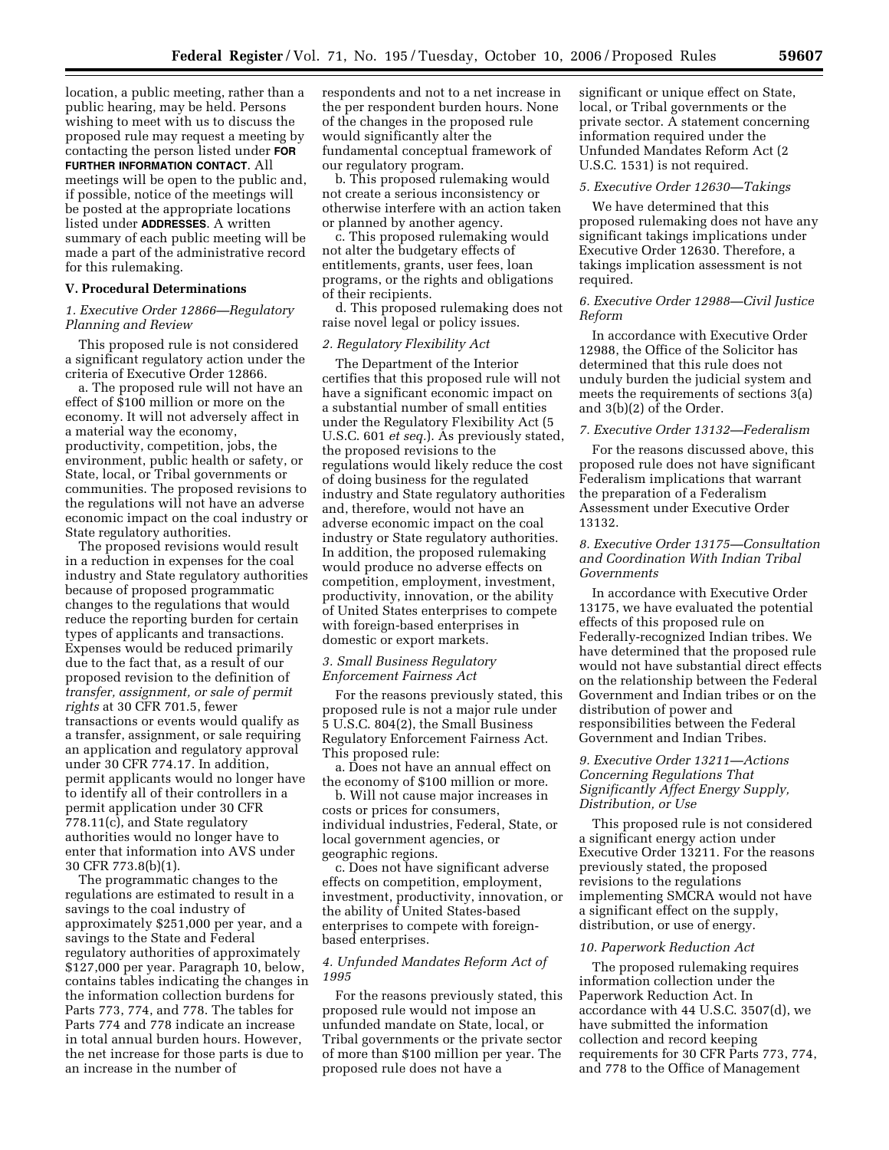location, a public meeting, rather than a public hearing, may be held. Persons wishing to meet with us to discuss the proposed rule may request a meeting by contacting the person listed under **FOR FURTHER INFORMATION CONTACT**. All meetings will be open to the public and, if possible, notice of the meetings will be posted at the appropriate locations listed under **ADDRESSES**. A written summary of each public meeting will be made a part of the administrative record for this rulemaking.

## **V. Procedural Determinations**

## *1. Executive Order 12866—Regulatory Planning and Review*

This proposed rule is not considered a significant regulatory action under the criteria of Executive Order 12866.

a. The proposed rule will not have an effect of \$100 million or more on the economy. It will not adversely affect in a material way the economy, productivity, competition, jobs, the environment, public health or safety, or State, local, or Tribal governments or communities. The proposed revisions to the regulations will not have an adverse economic impact on the coal industry or State regulatory authorities.

The proposed revisions would result in a reduction in expenses for the coal industry and State regulatory authorities because of proposed programmatic changes to the regulations that would reduce the reporting burden for certain types of applicants and transactions. Expenses would be reduced primarily due to the fact that, as a result of our proposed revision to the definition of *transfer, assignment, or sale of permit rights* at 30 CFR 701.5, fewer transactions or events would qualify as a transfer, assignment, or sale requiring an application and regulatory approval under 30 CFR 774.17. In addition, permit applicants would no longer have to identify all of their controllers in a permit application under 30 CFR 778.11(c), and State regulatory authorities would no longer have to enter that information into AVS under 30 CFR 773.8(b)(1).

The programmatic changes to the regulations are estimated to result in a savings to the coal industry of approximately \$251,000 per year, and a savings to the State and Federal regulatory authorities of approximately \$127,000 per year. Paragraph 10, below, contains tables indicating the changes in the information collection burdens for Parts 773, 774, and 778. The tables for Parts 774 and 778 indicate an increase in total annual burden hours. However, the net increase for those parts is due to an increase in the number of

respondents and not to a net increase in the per respondent burden hours. None of the changes in the proposed rule would significantly alter the fundamental conceptual framework of our regulatory program.

b. This proposed rulemaking would not create a serious inconsistency or otherwise interfere with an action taken or planned by another agency.

c. This proposed rulemaking would not alter the budgetary effects of entitlements, grants, user fees, loan programs, or the rights and obligations of their recipients.

d. This proposed rulemaking does not raise novel legal or policy issues.

### *2. Regulatory Flexibility Act*

The Department of the Interior certifies that this proposed rule will not have a significant economic impact on a substantial number of small entities under the Regulatory Flexibility Act (5 U.S.C. 601 *et seq.*). As previously stated, the proposed revisions to the regulations would likely reduce the cost of doing business for the regulated industry and State regulatory authorities and, therefore, would not have an adverse economic impact on the coal industry or State regulatory authorities. In addition, the proposed rulemaking would produce no adverse effects on competition, employment, investment, productivity, innovation, or the ability of United States enterprises to compete with foreign-based enterprises in domestic or export markets.

### *3. Small Business Regulatory Enforcement Fairness Act*

For the reasons previously stated, this proposed rule is not a major rule under 5 U.S.C. 804(2), the Small Business Regulatory Enforcement Fairness Act. This proposed rule:

a. Does not have an annual effect on the economy of \$100 million or more.

b. Will not cause major increases in costs or prices for consumers, individual industries, Federal, State, or local government agencies, or geographic regions.

c. Does not have significant adverse effects on competition, employment, investment, productivity, innovation, or the ability of United States-based enterprises to compete with foreignbased enterprises.

### *4. Unfunded Mandates Reform Act of 1995*

For the reasons previously stated, this proposed rule would not impose an unfunded mandate on State, local, or Tribal governments or the private sector of more than \$100 million per year. The proposed rule does not have a

significant or unique effect on State, local, or Tribal governments or the private sector. A statement concerning information required under the Unfunded Mandates Reform Act (2 U.S.C. 1531) is not required.

### *5. Executive Order 12630—Takings*

We have determined that this proposed rulemaking does not have any significant takings implications under Executive Order 12630. Therefore, a takings implication assessment is not required.

### *6. Executive Order 12988—Civil Justice Reform*

In accordance with Executive Order 12988, the Office of the Solicitor has determined that this rule does not unduly burden the judicial system and meets the requirements of sections 3(a) and 3(b)(2) of the Order.

# *7. Executive Order 13132—Federalism*

For the reasons discussed above, this proposed rule does not have significant Federalism implications that warrant the preparation of a Federalism Assessment under Executive Order 13132.

### *8. Executive Order 13175—Consultation and Coordination With Indian Tribal Governments*

In accordance with Executive Order 13175, we have evaluated the potential effects of this proposed rule on Federally-recognized Indian tribes. We have determined that the proposed rule would not have substantial direct effects on the relationship between the Federal Government and Indian tribes or on the distribution of power and responsibilities between the Federal Government and Indian Tribes.

### *9. Executive Order 13211—Actions Concerning Regulations That Significantly Affect Energy Supply, Distribution, or Use*

This proposed rule is not considered a significant energy action under Executive Order 13211. For the reasons previously stated, the proposed revisions to the regulations implementing SMCRA would not have a significant effect on the supply, distribution, or use of energy.

#### *10. Paperwork Reduction Act*

The proposed rulemaking requires information collection under the Paperwork Reduction Act. In accordance with 44 U.S.C. 3507(d), we have submitted the information collection and record keeping requirements for 30 CFR Parts 773, 774, and 778 to the Office of Management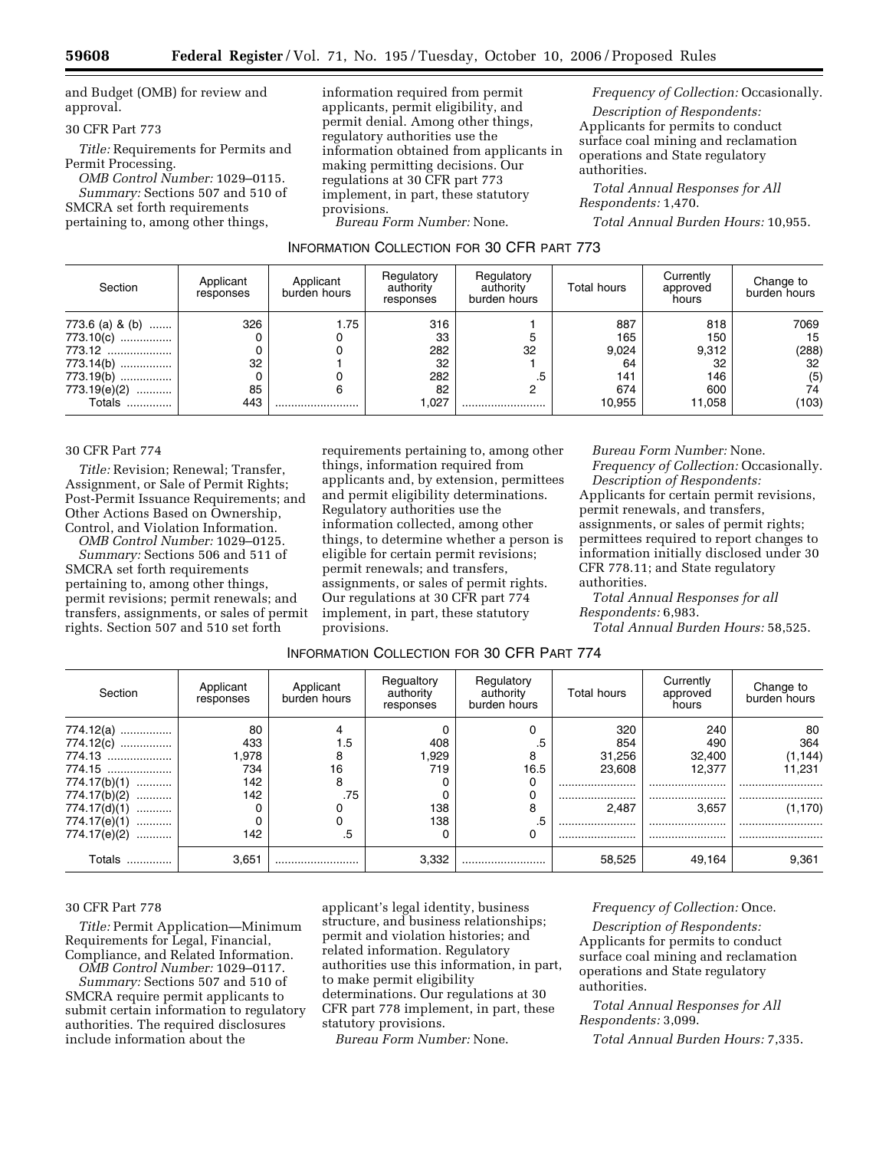and Budget (OMB) for review and approval.

### 30 CFR Part 773

*Title:* Requirements for Permits and Permit Processing.

*OMB Control Number:* 1029–0115. *Summary:* Sections 507 and 510 of SMCRA set forth requirements pertaining to, among other things,

information required from permit applicants, permit eligibility, and permit denial. Among other things, regulatory authorities use the information obtained from applicants in making permitting decisions. Our regulations at 30 CFR part 773 implement, in part, these statutory provisions.

*Bureau Form Number:* None.

*Frequency of Collection:* Occasionally.

*Description of Respondents:*  Applicants for permits to conduct surface coal mining and reclamation operations and State regulatory authorities.

*Total Annual Responses for All Respondents:* 1,470.

*Total Annual Burden Hours:* 10,955.

| INFORMATION COLLECTION FOR 30 CFR PART 773 |  |  |
|--------------------------------------------|--|--|
|                                            |  |  |

| Section                                                                          | Applicant<br>responses | Applicant<br>burden hours | Regulatory<br>authority<br>responses | Regulatory<br>authority<br>burden hours | Total hours                             | Currently<br>approved<br>hours          | Change to<br>burden hours              |
|----------------------------------------------------------------------------------|------------------------|---------------------------|--------------------------------------|-----------------------------------------|-----------------------------------------|-----------------------------------------|----------------------------------------|
| 773.6 (a) & (b)<br>773.10(c)<br>773.12<br>773.14(b)<br>773.19(b)<br>773.19(e)(2) | 326<br>32<br>85        | 1.75                      | 316<br>33<br>282<br>32<br>282<br>82  | 32<br>.5<br>n                           | 887<br>165<br>9,024<br>64<br>141<br>674 | 818<br>150<br>9,312<br>32<br>146<br>600 | 7069<br>15<br>(288)<br>32<br>(5)<br>74 |
| Totals                                                                           | 443                    |                           | 1,027                                |                                         | 10.955                                  | 11.058                                  | (103)                                  |

#### 30 CFR Part 774

*Title:* Revision; Renewal; Transfer, Assignment, or Sale of Permit Rights; Post-Permit Issuance Requirements; and Other Actions Based on Ownership, Control, and Violation Information.

*OMB Control Number:* 1029–0125. *Summary:* Sections 506 and 511 of SMCRA set forth requirements pertaining to, among other things, permit revisions; permit renewals; and transfers, assignments, or sales of permit rights. Section 507 and 510 set forth

requirements pertaining to, among other things, information required from applicants and, by extension, permittees and permit eligibility determinations. Regulatory authorities use the information collected, among other things, to determine whether a person is eligible for certain permit revisions; permit renewals; and transfers, assignments, or sales of permit rights. Our regulations at 30 CFR part 774 implement, in part, these statutory provisions.

*Bureau Form Number:* None. *Frequency of Collection:* Occasionally. *Description of Respondents:* 

Applicants for certain permit revisions, permit renewals, and transfers, assignments, or sales of permit rights; permittees required to report changes to information initially disclosed under 30 CFR 778.11; and State regulatory authorities.

*Total Annual Responses for all Respondents:* 6,983.

*Total Annual Burden Hours:* 58,525.

# INFORMATION COLLECTION FOR 30 CFR PART 774

| Section           | Applicant<br>responses | Applicant<br>burden hours | Regualtory<br>authority<br>responses | Regulatory<br>authority<br>burden hours | <b>Total hours</b> | Currently<br>approved<br>hours | Change to<br>burden hours |
|-------------------|------------------------|---------------------------|--------------------------------------|-----------------------------------------|--------------------|--------------------------------|---------------------------|
| $774.12(a)$       | 80                     |                           |                                      | 0                                       | 320                | 240                            | 80                        |
| 774.12(c)         | 433                    | 1.5                       | 408                                  | $.5\,$                                  | 854                | 490                            | 364                       |
| 774.13            | 1,978                  | 8                         | 1,929                                | 8                                       | 31,256             | 32,400                         | (1, 144)                  |
| 774.15            | 734                    | 16                        | 719                                  | 16.5                                    | 23.608             | 12.377                         | 11.231                    |
| $774.17(b)(1)$    | 142                    | 8                         |                                      | 0                                       |                    |                                |                           |
| 774.17(b)(2)<br>. | 142                    | .75                       |                                      | υ                                       |                    |                                |                           |
| $774.17(d)(1)$    |                        |                           | 138                                  | 8                                       | 2.487              | 3.657                          | (1, 170)                  |
| 774.17(e)(1)      |                        |                           | 138                                  | .5                                      |                    |                                |                           |
| 774.17(e)(2)      | 142                    | .5                        |                                      | 0                                       |                    |                                |                           |
| Totals            | 3,651                  |                           | 3.332                                |                                         | 58,525             | 49.164                         | 9,361                     |

#### 30 CFR Part 778

*Title:* Permit Application—Minimum Requirements for Legal, Financial, Compliance, and Related Information.

*OMB Control Number:* 1029–0117. *Summary:* Sections 507 and 510 of SMCRA require permit applicants to submit certain information to regulatory authorities. The required disclosures include information about the

applicant's legal identity, business structure, and business relationships; permit and violation histories; and related information. Regulatory authorities use this information, in part, to make permit eligibility determinations. Our regulations at 30 CFR part 778 implement, in part, these statutory provisions.

*Bureau Form Number:* None.

### *Frequency of Collection:* Once.

*Description of Respondents:*  Applicants for permits to conduct surface coal mining and reclamation operations and State regulatory authorities.

*Total Annual Responses for All Respondents:* 3,099.

*Total Annual Burden Hours:* 7,335.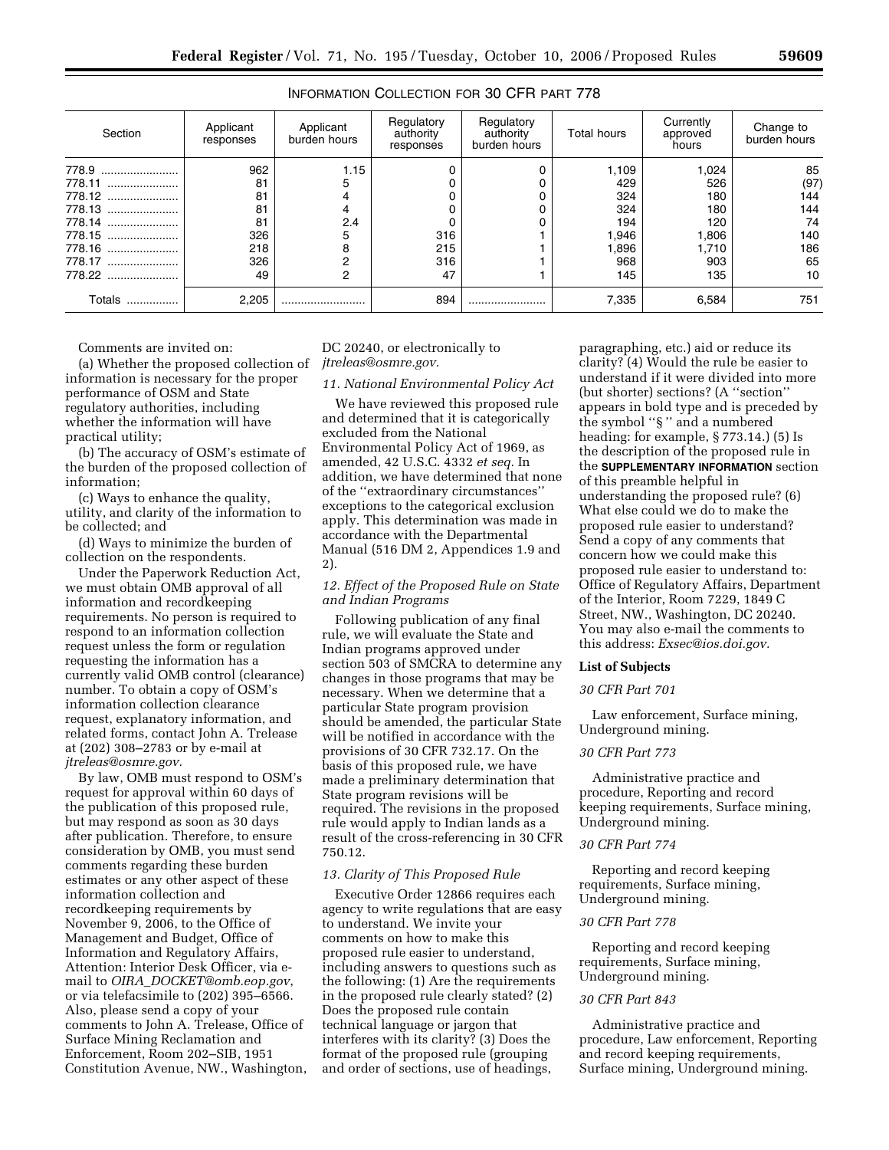| Section    | Applicant<br>responses | Applicant<br>burden hours | Regulatory<br>authority<br>responses | Regulatory<br>authority<br>burden hours | <b>Total hours</b> | Currently<br>approved<br>hours | Change to<br>burden hours |
|------------|------------------------|---------------------------|--------------------------------------|-----------------------------------------|--------------------|--------------------------------|---------------------------|
| 778.9      | 962                    | 1.15                      |                                      |                                         | 1,109              | 0.024                          | 85                        |
| 778.11     | 81                     | 5                         |                                      |                                         | 429                | 526                            | (97)                      |
| 778.12     | 81                     | 4                         |                                      |                                         | 324                | 180                            | 144                       |
| 778.13     | 81                     | 4                         |                                      |                                         | 324                | 180                            | 144                       |
| 778.14     | 81                     | 2.4                       |                                      |                                         | 194                | 120                            | 74                        |
| 778.15     | 326                    | 5                         | 316                                  |                                         | 1,946              | .806                           | 140                       |
| 778.16     | 218                    | 8                         | 215                                  |                                         | 1,896              | 1.710                          | 186                       |
| 778.17     | 326                    | 2                         | 316                                  |                                         | 968                | 903                            | 65                        |
| 778.22     | 49                     | 2                         | 47                                   |                                         | 145                | 135                            | 10                        |
| Totals<br> | 2,205                  |                           | 894                                  |                                         | 7,335              | 6,584                          | 751                       |

# INFORMATION COLLECTION FOR 30 CFR PART 778

Comments are invited on:

(a) Whether the proposed collection of information is necessary for the proper performance of OSM and State regulatory authorities, including whether the information will have practical utility;

(b) The accuracy of OSM's estimate of the burden of the proposed collection of information;

(c) Ways to enhance the quality, utility, and clarity of the information to be collected; and

(d) Ways to minimize the burden of collection on the respondents.

Under the Paperwork Reduction Act, we must obtain OMB approval of all information and recordkeeping requirements. No person is required to respond to an information collection request unless the form or regulation requesting the information has a currently valid OMB control (clearance) number. To obtain a copy of OSM's information collection clearance request, explanatory information, and related forms, contact John A. Trelease at (202) 308–2783 or by e-mail at *jtreleas@osmre.gov.* 

By law, OMB must respond to OSM's request for approval within 60 days of the publication of this proposed rule, but may respond as soon as 30 days after publication. Therefore, to ensure consideration by OMB, you must send comments regarding these burden estimates or any other aspect of these information collection and recordkeeping requirements by November 9, 2006, to the Office of Management and Budget, Office of Information and Regulatory Affairs, Attention: Interior Desk Officer, via email to *OIRA*\_*DOCKET@omb.eop.gov*, or via telefacsimile to (202) 395–6566. Also, please send a copy of your comments to John A. Trelease, Office of Surface Mining Reclamation and Enforcement, Room 202–SIB, 1951 Constitution Avenue, NW., Washington,

DC 20240, or electronically to *jtreleas@osmre.gov.* 

#### *11. National Environmental Policy Act*

We have reviewed this proposed rule and determined that it is categorically excluded from the National Environmental Policy Act of 1969, as amended, 42 U.S.C. 4332 *et seq.* In addition, we have determined that none of the ''extraordinary circumstances'' exceptions to the categorical exclusion apply. This determination was made in accordance with the Departmental Manual (516 DM 2, Appendices 1.9 and 2).

### *12. Effect of the Proposed Rule on State and Indian Programs*

Following publication of any final rule, we will evaluate the State and Indian programs approved under section 503 of SMCRA to determine any changes in those programs that may be necessary. When we determine that a particular State program provision should be amended, the particular State will be notified in accordance with the provisions of 30 CFR 732.17. On the basis of this proposed rule, we have made a preliminary determination that State program revisions will be required. The revisions in the proposed rule would apply to Indian lands as a result of the cross-referencing in 30 CFR 750.12.

### *13. Clarity of This Proposed Rule*

Executive Order 12866 requires each agency to write regulations that are easy to understand. We invite your comments on how to make this proposed rule easier to understand, including answers to questions such as the following: (1) Are the requirements in the proposed rule clearly stated? (2) Does the proposed rule contain technical language or jargon that interferes with its clarity? (3) Does the format of the proposed rule (grouping and order of sections, use of headings,

paragraphing, etc.) aid or reduce its clarity? (4) Would the rule be easier to understand if it were divided into more (but shorter) sections? (A ''section'' appears in bold type and is preceded by the symbol ''§ '' and a numbered heading: for example, § 773.14.) (5) Is the description of the proposed rule in the **SUPPLEMENTARY INFORMATION** section of this preamble helpful in understanding the proposed rule? (6) What else could we do to make the proposed rule easier to understand? Send a copy of any comments that concern how we could make this proposed rule easier to understand to: Office of Regulatory Affairs, Department of the Interior, Room 7229, 1849 C Street, NW., Washington, DC 20240. You may also e-mail the comments to this address: *Exsec@ios.doi.gov.* 

#### **List of Subjects**

#### *30 CFR Part 701*

Law enforcement, Surface mining, Underground mining.

### *30 CFR Part 773*

Administrative practice and procedure, Reporting and record keeping requirements, Surface mining, Underground mining.

# *30 CFR Part 774*

Reporting and record keeping requirements, Surface mining, Underground mining.

#### *30 CFR Part 778*

Reporting and record keeping requirements, Surface mining, Underground mining.

### *30 CFR Part 843*

Administrative practice and procedure, Law enforcement, Reporting and record keeping requirements, Surface mining, Underground mining.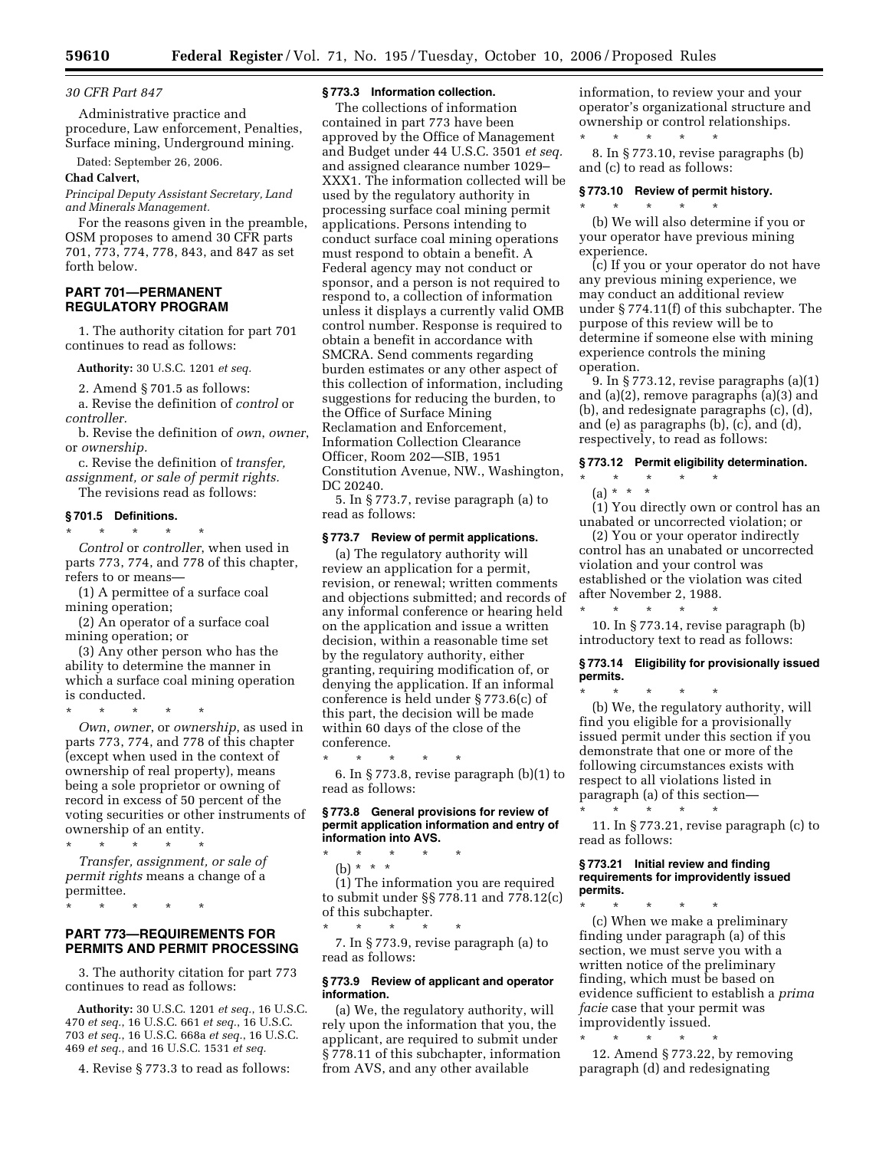#### *30 CFR Part 847*

Administrative practice and procedure, Law enforcement, Penalties, Surface mining, Underground mining.

Dated: September 26, 2006.

#### **Chad Calvert,**

*Principal Deputy Assistant Secretary, Land and Minerals Management.* 

For the reasons given in the preamble, OSM proposes to amend 30 CFR parts 701, 773, 774, 778, 843, and 847 as set forth below.

### **PART 701—PERMANENT REGULATORY PROGRAM**

1. The authority citation for part 701 continues to read as follows:

**Authority:** 30 U.S.C. 1201 *et seq.* 

2. Amend § 701.5 as follows:

a. Revise the definition of *control* or *controller.* 

b. Revise the definition of *own*, *owner*, or *ownership.* 

c. Revise the definition of *transfer, assignment, or sale of permit rights.* 

The revisions read as follows:

\* \* \* \* \*

# **§ 701.5 Definitions.**

*Control* or *controller*, when used in parts 773, 774, and 778 of this chapter, refers to or means—

(1) A permittee of a surface coal mining operation;

(2) An operator of a surface coal mining operation; or

(3) Any other person who has the ability to determine the manner in which a surface coal mining operation is conducted.

\* \* \* \* \*

*Own*, *owner*, or *ownership*, as used in parts 773, 774, and 778 of this chapter (except when used in the context of ownership of real property), means being a sole proprietor or owning of record in excess of 50 percent of the voting securities or other instruments of ownership of an entity.

\* \* \* \* \* *Transfer, assignment, or sale of permit rights* means a change of a permittee.

\* \* \* \* \*

# **PART 773—REQUIREMENTS FOR PERMITS AND PERMIT PROCESSING**

3. The authority citation for part 773 continues to read as follows:

**Authority:** 30 U.S.C. 1201 *et seq.*, 16 U.S.C. *et seq.*, 16 U.S.C. 661 *et seq.*, 16 U.S.C. *et seq.*, 16 U.S.C. 668a *et seq.*, 16 U.S.C. *et seq.*, and 16 U.S.C. 1531 *et seq.* 

4. Revise § 773.3 to read as follows:

### **§ 773.3 Information collection.**

The collections of information contained in part 773 have been approved by the Office of Management and Budget under 44 U.S.C. 3501 *et seq.*  and assigned clearance number 1029– XXX1. The information collected will be used by the regulatory authority in processing surface coal mining permit applications. Persons intending to conduct surface coal mining operations must respond to obtain a benefit. A Federal agency may not conduct or sponsor, and a person is not required to respond to, a collection of information unless it displays a currently valid OMB control number. Response is required to obtain a benefit in accordance with SMCRA. Send comments regarding burden estimates or any other aspect of this collection of information, including suggestions for reducing the burden, to the Office of Surface Mining Reclamation and Enforcement, Information Collection Clearance Officer, Room 202—SIB, 1951 Constitution Avenue, NW., Washington, DC 20240.

5. In § 773.7, revise paragraph (a) to read as follows:

### **§ 773.7 Review of permit applications.**

(a) The regulatory authority will review an application for a permit, revision, or renewal; written comments and objections submitted; and records of any informal conference or hearing held on the application and issue a written decision, within a reasonable time set by the regulatory authority, either granting, requiring modification of, or denying the application. If an informal conference is held under § 773.6(c) of this part, the decision will be made within 60 days of the close of the conference.

\* \* \* \* \* 6. In § 773.8, revise paragraph (b)(1) to read as follows:

### **§ 773.8 General provisions for review of permit application information and entry of information into AVS.**

\* \* \* \* \* (b) \* \* \* (1) The information you are required to submit under §§ 778.11 and 778.12(c) of this subchapter.

\* \* \* \* \* 7. In § 773.9, revise paragraph (a) to read as follows:

#### **§ 773.9 Review of applicant and operator information.**

(a) We, the regulatory authority, will rely upon the information that you, the applicant, are required to submit under § 778.11 of this subchapter, information from AVS, and any other available

information, to review your and your operator's organizational structure and ownership or control relationships. \* \* \* \* \*

8. In § 773.10, revise paragraphs (b) and (c) to read as follows:

### **§ 773.10 Review of permit history.**

\* \* \* \* \* (b) We will also determine if you or your operator have previous mining experience.

(c) If you or your operator do not have any previous mining experience, we may conduct an additional review under § 774.11(f) of this subchapter. The purpose of this review will be to determine if someone else with mining experience controls the mining operation.

9. In § 773.12, revise paragraphs (a)(1) and (a)(2), remove paragraphs (a)(3) and (b), and redesignate paragraphs (c), (d), and (e) as paragraphs (b), (c), and (d), respectively, to read as follows:

### **§ 773.12 Permit eligibility determination.**

- \* \* \* \* \*
	- (a) \* \* \*

(1) You directly own or control has an unabated or uncorrected violation; or

(2) You or your operator indirectly control has an unabated or uncorrected violation and your control was established or the violation was cited after November 2, 1988.

\* \* \* \* \* 10. In § 773.14, revise paragraph (b) introductory text to read as follows:

#### **§ 773.14 Eligibility for provisionally issued permits.**

\* \* \* \* \* (b) We, the regulatory authority, will find you eligible for a provisionally issued permit under this section if you demonstrate that one or more of the following circumstances exists with respect to all violations listed in paragraph (a) of this section—

\* \* \* \* \*

11. In § 773.21, revise paragraph (c) to read as follows:

#### **§ 773.21 Initial review and finding requirements for improvidently issued permits.**

\* \* \* \* \* (c) When we make a preliminary finding under paragraph (a) of this section, we must serve you with a written notice of the preliminary finding, which must be based on evidence sufficient to establish a *prima facie* case that your permit was improvidently issued.

\* \* \* \* \* 12. Amend § 773.22, by removing paragraph (d) and redesignating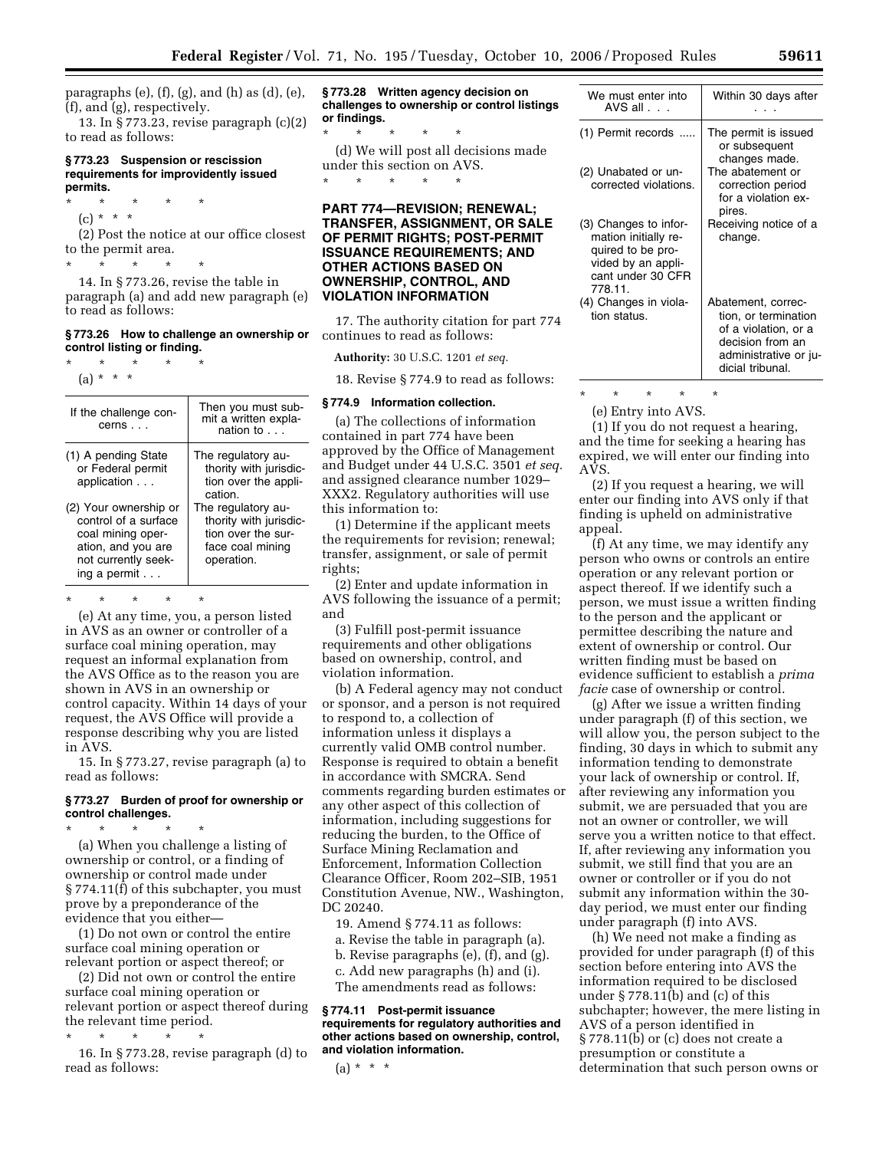paragraphs  $(e)$ ,  $(f)$ ,  $(g)$ , and  $(h)$  as  $(d)$ ,  $(e)$ , (f), and (g), respectively.

13. In § 773.23, revise paragraph (c)(2) to read as follows:

#### **§ 773.23 Suspension or rescission requirements for improvidently issued permits.**

- \* \* \* \* \*
	- $(c) * * * *$

(2) Post the notice at our office closest to the permit area.

\* \* \* \* \* 14. In § 773.26, revise the table in paragraph (a) and add new paragraph (e)

### **§ 773.26 How to challenge an ownership or control listing or finding.**

\* \* \* \* \*

to read as follows:

(a) \* \* \*

| If the challenge con-<br>cerns                                                                         | Then you must sub-<br>mit a written expla-<br>nation to                                               |
|--------------------------------------------------------------------------------------------------------|-------------------------------------------------------------------------------------------------------|
| (1) A pending State<br>or Federal permit<br>application<br>(2) Your ownership or                       | The regulatory au-<br>thority with jurisdic-<br>tion over the appli-<br>cation.<br>The regulatory au- |
| control of a surface<br>coal mining oper-<br>ation, and you are<br>not currently seek-<br>ing a permit | thority with jurisdic-<br>tion over the sur-<br>face coal mining<br>operation.                        |

\* \* \* \* \*

(e) At any time, you, a person listed in AVS as an owner or controller of a surface coal mining operation, may request an informal explanation from the AVS Office as to the reason you are shown in AVS in an ownership or control capacity. Within 14 days of your request, the AVS Office will provide a response describing why you are listed in AVS.

15. In § 773.27, revise paragraph (a) to read as follows:

### **§ 773.27 Burden of proof for ownership or control challenges.**

\* \* \* \* \* (a) When you challenge a listing of ownership or control, or a finding of ownership or control made under § 774.11(f) of this subchapter, you must prove by a preponderance of the

evidence that you either— (1) Do not own or control the entire surface coal mining operation or relevant portion or aspect thereof; or

(2) Did not own or control the entire surface coal mining operation or relevant portion or aspect thereof during the relevant time period.

\* \* \* \* \*

16. In § 773.28, revise paragraph (d) to read as follows:

**§ 773.28 Written agency decision on challenges to ownership or control listings or findings.** 

\* \* \* \* \* (d) We will post all decisions made under this section on AVS. \* \* \* \* \*

### **PART 774—REVISION; RENEWAL; TRANSFER, ASSIGNMENT, OR SALE OF PERMIT RIGHTS; POST-PERMIT ISSUANCE REQUIREMENTS; AND OTHER ACTIONS BASED ON OWNERSHIP, CONTROL, AND VIOLATION INFORMATION**

17. The authority citation for part 774 continues to read as follows:

**Authority:** 30 U.S.C. 1201 *et seq.* 

18. Revise § 774.9 to read as follows:

#### **§ 774.9 Information collection.**

(a) The collections of information contained in part 774 have been approved by the Office of Management and Budget under 44 U.S.C. 3501 *et seq.*  and assigned clearance number 1029– XXX2. Regulatory authorities will use this information to:

(1) Determine if the applicant meets the requirements for revision; renewal; transfer, assignment, or sale of permit rights;

(2) Enter and update information in AVS following the issuance of a permit; and

(3) Fulfill post-permit issuance requirements and other obligations based on ownership, control, and violation information.

(b) A Federal agency may not conduct or sponsor, and a person is not required to respond to, a collection of information unless it displays a currently valid OMB control number. Response is required to obtain a benefit in accordance with SMCRA. Send comments regarding burden estimates or any other aspect of this collection of information, including suggestions for reducing the burden, to the Office of Surface Mining Reclamation and Enforcement, Information Collection Clearance Officer, Room 202–SIB, 1951 Constitution Avenue, NW., Washington, DC 20240.

19. Amend § 774.11 as follows:

a. Revise the table in paragraph (a).

- b. Revise paragraphs (e), (f), and (g).
- c. Add new paragraphs (h) and (i).

The amendments read as follows:

### **§ 774.11 Post-permit issuance requirements for regulatory authorities and other actions based on ownership, control, and violation information.**

 $(a) * * * *$ 

| We must enter into<br>AVS all $\ldots$                                                                                   | Within 30 days after                                                                                                                |
|--------------------------------------------------------------------------------------------------------------------------|-------------------------------------------------------------------------------------------------------------------------------------|
| (1) Permit records                                                                                                       | The permit is issued<br>or subsequent<br>changes made.                                                                              |
| (2) Unabated or un-<br>corrected violations.                                                                             | The abatement or<br>correction period<br>for a violation ex-<br>pires.                                                              |
| (3) Changes to infor-<br>mation initially re-<br>quired to be pro-<br>vided by an appli-<br>cant under 30 CFR<br>778.11. | Receiving notice of a<br>change.                                                                                                    |
| (4) Changes in viola-<br>tion status.                                                                                    | Abatement, correc-<br>tion, or termination<br>of a violation, or a<br>decision from an<br>administrative or ju-<br>dicial tribunal. |

\* \* \* \* \*

(e) Entry into AVS.

(1) If you do not request a hearing, and the time for seeking a hearing has expired, we will enter our finding into AVS.

(2) If you request a hearing, we will enter our finding into AVS only if that finding is upheld on administrative appeal.

(f) At any time, we may identify any person who owns or controls an entire operation or any relevant portion or aspect thereof. If we identify such a person, we must issue a written finding to the person and the applicant or permittee describing the nature and extent of ownership or control. Our written finding must be based on evidence sufficient to establish a *prima facie* case of ownership or control.

(g) After we issue a written finding under paragraph (f) of this section, we will allow you, the person subject to the finding, 30 days in which to submit any information tending to demonstrate your lack of ownership or control. If, after reviewing any information you submit, we are persuaded that you are not an owner or controller, we will serve you a written notice to that effect. If, after reviewing any information you submit, we still find that you are an owner or controller or if you do not submit any information within the 30 day period, we must enter our finding under paragraph (f) into AVS.

(h) We need not make a finding as provided for under paragraph (f) of this section before entering into AVS the information required to be disclosed under § 778.11(b) and (c) of this subchapter; however, the mere listing in AVS of a person identified in § 778.11(b) or (c) does not create a presumption or constitute a determination that such person owns or